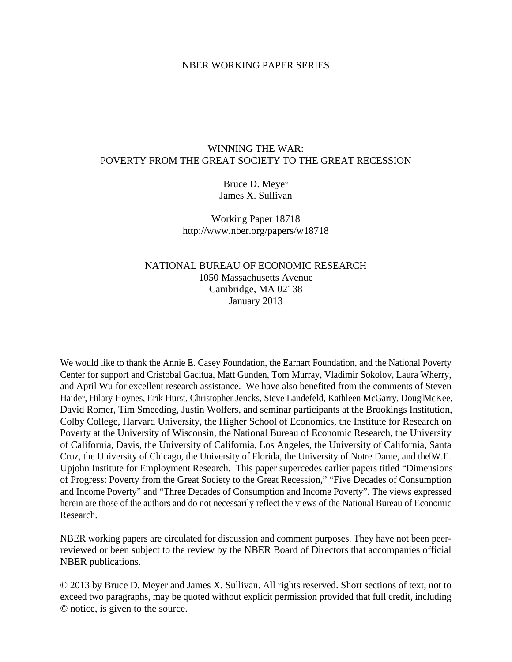#### NBER WORKING PAPER SERIES

# WINNING THE WAR: POVERTY FROM THE GREAT SOCIETY TO THE GREAT RECESSION

# Bruce D. Meyer James X. Sullivan

Working Paper 18718 http://www.nber.org/papers/w18718

# NATIONAL BUREAU OF ECONOMIC RESEARCH 1050 Massachusetts Avenue Cambridge, MA 02138 January 2013

We would like to thank the Annie E. Casey Foundation, the Earhart Foundation, and the National Poverty Center for support and Cristobal Gacitua, Matt Gunden, Tom Murray, Vladimir Sokolov, Laura Wherry, and April Wu for excellent research assistance. We have also benefited from the comments of Steven Haider, Hilary Hoynes, Erik Hurst, Christopher Jencks, Steve Landefeld, Kathleen McGarry, Doug'McKee, David Romer, Tim Smeeding, Justin Wolfers, and seminar participants at the Brookings Institution, Colby College, Harvard University, the Higher School of Economics, the Institute for Research on Poverty at the University of Wisconsin, the National Bureau of Economic Research, the University of California, Davis, the University of California, Los Angeles, the University of California, Santa Cruz, the University of Chicago, the University of Florida, the University of Notre Dame, and the W.E. Upjohn Institute for Employment Research. This paper supercedes earlier papers titled "Dimensions of Progress: Poverty from the Great Society to the Great Recession," "Five Decades of Consumption and Income Poverty" and "Three Decades of Consumption and Income Poverty". The views expressed herein are those of the authors and do not necessarily reflect the views of the National Bureau of Economic Research.

NBER working papers are circulated for discussion and comment purposes. They have not been peerreviewed or been subject to the review by the NBER Board of Directors that accompanies official NBER publications.

© 2013 by Bruce D. Meyer and James X. Sullivan. All rights reserved. Short sections of text, not to exceed two paragraphs, may be quoted without explicit permission provided that full credit, including © notice, is given to the source.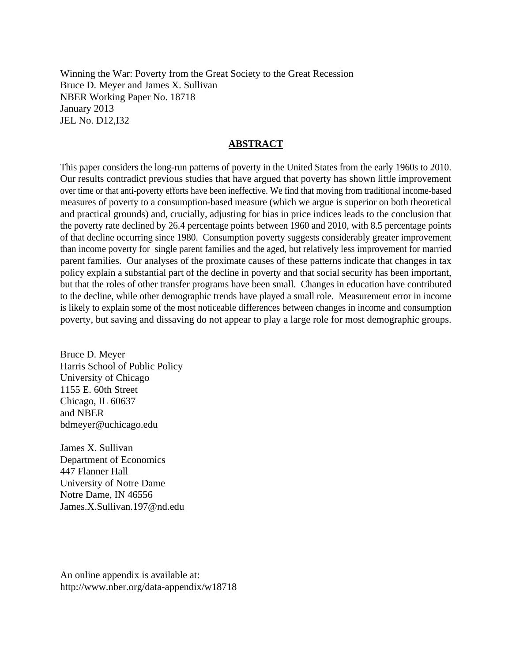Winning the War: Poverty from the Great Society to the Great Recession Bruce D. Meyer and James X. Sullivan NBER Working Paper No. 18718 January 2013 JEL No. D12,I32

## **ABSTRACT**

This paper considers the long-run patterns of poverty in the United States from the early 1960s to 2010. Our results contradict previous studies that have argued that poverty has shown little improvement over time or that anti-poverty efforts have been ineffective. We find that moving from traditional income-based measures of poverty to a consumption-based measure (which we argue is superior on both theoretical and practical grounds) and, crucially, adjusting for bias in price indices leads to the conclusion that the poverty rate declined by 26.4 percentage points between 1960 and 2010, with 8.5 percentage points of that decline occurring since 1980. Consumption poverty suggests considerably greater improvement than income poverty for single parent families and the aged, but relatively less improvement for married parent families. Our analyses of the proximate causes of these patterns indicate that changes in tax policy explain a substantial part of the decline in poverty and that social security has been important, but that the roles of other transfer programs have been small. Changes in education have contributed to the decline, while other demographic trends have played a small role. Measurement error in income is likely to explain some of the most noticeable differences between changes in income and consumption poverty, but saving and dissaving do not appear to play a large role for most demographic groups.

Bruce D. Meyer Harris School of Public Policy University of Chicago 1155 E. 60th Street Chicago, IL 60637 and NBER bdmeyer@uchicago.edu

James X. Sullivan Department of Economics 447 Flanner Hall University of Notre Dame Notre Dame, IN 46556 James.X.Sullivan.197@nd.edu

An online appendix is available at: http://www.nber.org/data-appendix/w18718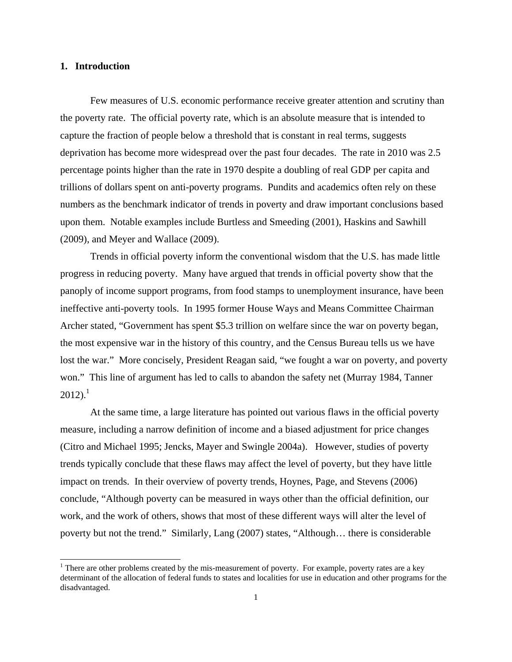### **1. Introduction**

 $\overline{a}$ 

 Few measures of U.S. economic performance receive greater attention and scrutiny than the poverty rate. The official poverty rate, which is an absolute measure that is intended to capture the fraction of people below a threshold that is constant in real terms, suggests deprivation has become more widespread over the past four decades. The rate in 2010 was 2.5 percentage points higher than the rate in 1970 despite a doubling of real GDP per capita and trillions of dollars spent on anti-poverty programs. Pundits and academics often rely on these numbers as the benchmark indicator of trends in poverty and draw important conclusions based upon them. Notable examples include Burtless and Smeeding (2001), Haskins and Sawhill (2009), and Meyer and Wallace (2009).

 Trends in official poverty inform the conventional wisdom that the U.S. has made little progress in reducing poverty. Many have argued that trends in official poverty show that the panoply of income support programs, from food stamps to unemployment insurance, have been ineffective anti-poverty tools. In 1995 former House Ways and Means Committee Chairman Archer stated, "Government has spent \$5.3 trillion on welfare since the war on poverty began, the most expensive war in the history of this country, and the Census Bureau tells us we have lost the war." More concisely, President Reagan said, "we fought a war on poverty, and poverty won." This line of argument has led to calls to abandon the safety net (Murray 1984, Tanner  $2012$ ).<sup>1</sup>

 At the same time, a large literature has pointed out various flaws in the official poverty measure, including a narrow definition of income and a biased adjustment for price changes (Citro and Michael 1995; Jencks, Mayer and Swingle 2004a). However, studies of poverty trends typically conclude that these flaws may affect the level of poverty, but they have little impact on trends. In their overview of poverty trends, Hoynes, Page, and Stevens (2006) conclude, "Although poverty can be measured in ways other than the official definition, our work, and the work of others, shows that most of these different ways will alter the level of poverty but not the trend." Similarly, Lang (2007) states, "Although… there is considerable

<sup>&</sup>lt;sup>1</sup> There are other problems created by the mis-measurement of poverty. For example, poverty rates are a key determinant of the allocation of federal funds to states and localities for use in education and other programs for the disadvantaged.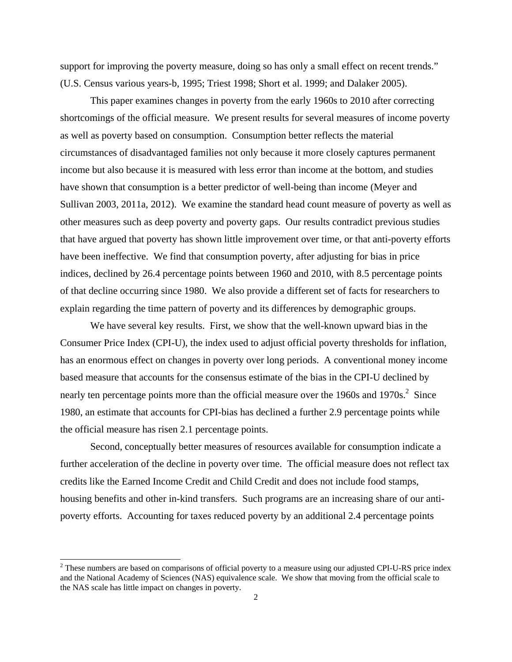support for improving the poverty measure, doing so has only a small effect on recent trends." (U.S. Census various years-b, 1995; Triest 1998; Short et al. 1999; and Dalaker 2005).

 This paper examines changes in poverty from the early 1960s to 2010 after correcting shortcomings of the official measure. We present results for several measures of income poverty as well as poverty based on consumption. Consumption better reflects the material circumstances of disadvantaged families not only because it more closely captures permanent income but also because it is measured with less error than income at the bottom, and studies have shown that consumption is a better predictor of well-being than income (Meyer and Sullivan 2003, 2011a, 2012). We examine the standard head count measure of poverty as well as other measures such as deep poverty and poverty gaps. Our results contradict previous studies that have argued that poverty has shown little improvement over time, or that anti-poverty efforts have been ineffective. We find that consumption poverty, after adjusting for bias in price indices, declined by 26.4 percentage points between 1960 and 2010, with 8.5 percentage points of that decline occurring since 1980. We also provide a different set of facts for researchers to explain regarding the time pattern of poverty and its differences by demographic groups.

 We have several key results. First, we show that the well-known upward bias in the Consumer Price Index (CPI-U), the index used to adjust official poverty thresholds for inflation, has an enormous effect on changes in poverty over long periods. A conventional money income based measure that accounts for the consensus estimate of the bias in the CPI-U declined by nearly ten percentage points more than the official measure over the 1960s and 1970s. $2$  Since 1980, an estimate that accounts for CPI-bias has declined a further 2.9 percentage points while the official measure has risen 2.1 percentage points.

 Second, conceptually better measures of resources available for consumption indicate a further acceleration of the decline in poverty over time. The official measure does not reflect tax credits like the Earned Income Credit and Child Credit and does not include food stamps, housing benefits and other in-kind transfers. Such programs are an increasing share of our antipoverty efforts. Accounting for taxes reduced poverty by an additional 2.4 percentage points

 $2^2$  These numbers are based on comparisons of official poverty to a measure using our adjusted CPI-U-RS price index and the National Academy of Sciences (NAS) equivalence scale. We show that moving from the official scale to the NAS scale has little impact on changes in poverty.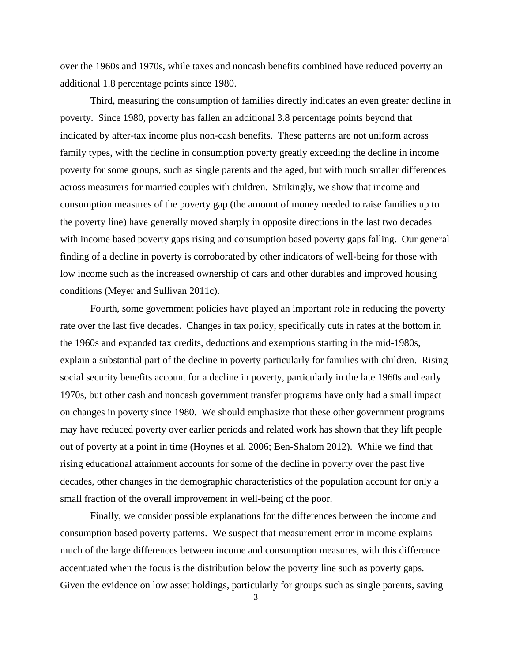over the 1960s and 1970s, while taxes and noncash benefits combined have reduced poverty an additional 1.8 percentage points since 1980.

 Third, measuring the consumption of families directly indicates an even greater decline in poverty. Since 1980, poverty has fallen an additional 3.8 percentage points beyond that indicated by after-tax income plus non-cash benefits. These patterns are not uniform across family types, with the decline in consumption poverty greatly exceeding the decline in income poverty for some groups, such as single parents and the aged, but with much smaller differences across measurers for married couples with children. Strikingly, we show that income and consumption measures of the poverty gap (the amount of money needed to raise families up to the poverty line) have generally moved sharply in opposite directions in the last two decades with income based poverty gaps rising and consumption based poverty gaps falling. Our general finding of a decline in poverty is corroborated by other indicators of well-being for those with low income such as the increased ownership of cars and other durables and improved housing conditions (Meyer and Sullivan 2011c).

 Fourth, some government policies have played an important role in reducing the poverty rate over the last five decades. Changes in tax policy, specifically cuts in rates at the bottom in the 1960s and expanded tax credits, deductions and exemptions starting in the mid-1980s, explain a substantial part of the decline in poverty particularly for families with children. Rising social security benefits account for a decline in poverty, particularly in the late 1960s and early 1970s, but other cash and noncash government transfer programs have only had a small impact on changes in poverty since 1980. We should emphasize that these other government programs may have reduced poverty over earlier periods and related work has shown that they lift people out of poverty at a point in time (Hoynes et al. 2006; Ben-Shalom 2012). While we find that rising educational attainment accounts for some of the decline in poverty over the past five decades, other changes in the demographic characteristics of the population account for only a small fraction of the overall improvement in well-being of the poor.

 Finally, we consider possible explanations for the differences between the income and consumption based poverty patterns. We suspect that measurement error in income explains much of the large differences between income and consumption measures, with this difference accentuated when the focus is the distribution below the poverty line such as poverty gaps. Given the evidence on low asset holdings, particularly for groups such as single parents, saving

<sup>3</sup>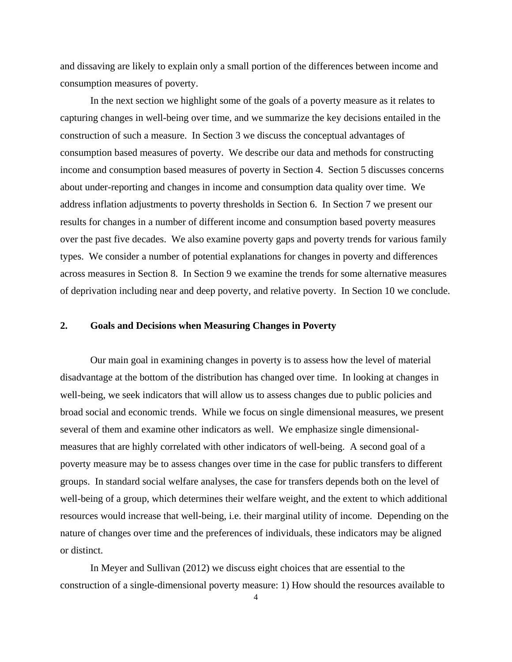and dissaving are likely to explain only a small portion of the differences between income and consumption measures of poverty.

 In the next section we highlight some of the goals of a poverty measure as it relates to capturing changes in well-being over time, and we summarize the key decisions entailed in the construction of such a measure. In Section 3 we discuss the conceptual advantages of consumption based measures of poverty. We describe our data and methods for constructing income and consumption based measures of poverty in Section 4. Section 5 discusses concerns about under-reporting and changes in income and consumption data quality over time. We address inflation adjustments to poverty thresholds in Section 6. In Section 7 we present our results for changes in a number of different income and consumption based poverty measures over the past five decades. We also examine poverty gaps and poverty trends for various family types. We consider a number of potential explanations for changes in poverty and differences across measures in Section 8. In Section 9 we examine the trends for some alternative measures of deprivation including near and deep poverty, and relative poverty. In Section 10 we conclude.

### **2. Goals and Decisions when Measuring Changes in Poverty**

 Our main goal in examining changes in poverty is to assess how the level of material disadvantage at the bottom of the distribution has changed over time. In looking at changes in well-being, we seek indicators that will allow us to assess changes due to public policies and broad social and economic trends. While we focus on single dimensional measures, we present several of them and examine other indicators as well. We emphasize single dimensionalmeasures that are highly correlated with other indicators of well-being. A second goal of a poverty measure may be to assess changes over time in the case for public transfers to different groups. In standard social welfare analyses, the case for transfers depends both on the level of well-being of a group, which determines their welfare weight, and the extent to which additional resources would increase that well-being, i.e. their marginal utility of income. Depending on the nature of changes over time and the preferences of individuals, these indicators may be aligned or distinct.

 In Meyer and Sullivan (2012) we discuss eight choices that are essential to the construction of a single-dimensional poverty measure: 1) How should the resources available to

4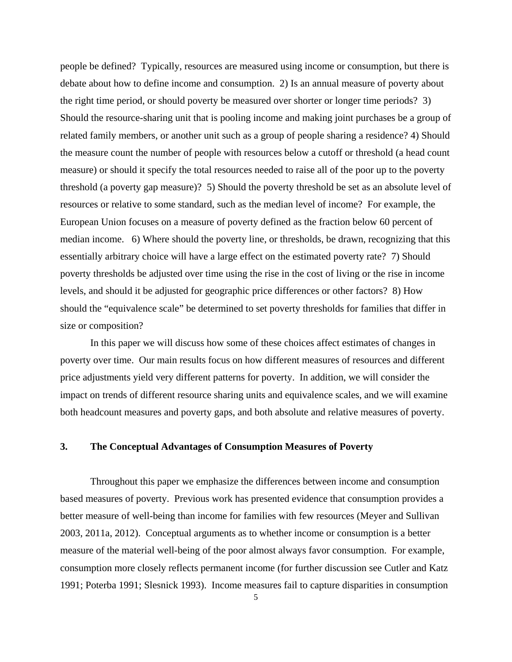people be defined? Typically, resources are measured using income or consumption, but there is debate about how to define income and consumption. 2) Is an annual measure of poverty about the right time period, or should poverty be measured over shorter or longer time periods? 3) Should the resource-sharing unit that is pooling income and making joint purchases be a group of related family members, or another unit such as a group of people sharing a residence? 4) Should the measure count the number of people with resources below a cutoff or threshold (a head count measure) or should it specify the total resources needed to raise all of the poor up to the poverty threshold (a poverty gap measure)? 5) Should the poverty threshold be set as an absolute level of resources or relative to some standard, such as the median level of income? For example, the European Union focuses on a measure of poverty defined as the fraction below 60 percent of median income. 6) Where should the poverty line, or thresholds, be drawn, recognizing that this essentially arbitrary choice will have a large effect on the estimated poverty rate? 7) Should poverty thresholds be adjusted over time using the rise in the cost of living or the rise in income levels, and should it be adjusted for geographic price differences or other factors? 8) How should the "equivalence scale" be determined to set poverty thresholds for families that differ in size or composition?

 In this paper we will discuss how some of these choices affect estimates of changes in poverty over time. Our main results focus on how different measures of resources and different price adjustments yield very different patterns for poverty. In addition, we will consider the impact on trends of different resource sharing units and equivalence scales, and we will examine both headcount measures and poverty gaps, and both absolute and relative measures of poverty.

# **3. The Conceptual Advantages of Consumption Measures of Poverty**

 Throughout this paper we emphasize the differences between income and consumption based measures of poverty. Previous work has presented evidence that consumption provides a better measure of well-being than income for families with few resources (Meyer and Sullivan 2003, 2011a, 2012). Conceptual arguments as to whether income or consumption is a better measure of the material well-being of the poor almost always favor consumption. For example, consumption more closely reflects permanent income (for further discussion see Cutler and Katz 1991; Poterba 1991; Slesnick 1993). Income measures fail to capture disparities in consumption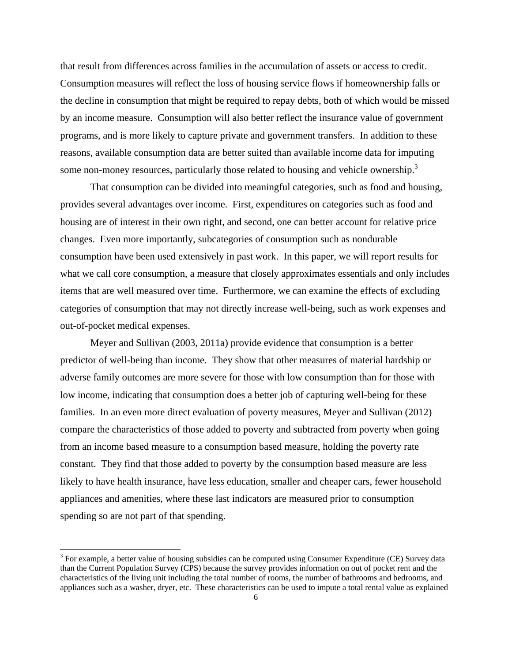that result from differences across families in the accumulation of assets or access to credit. Consumption measures will reflect the loss of housing service flows if homeownership falls or the decline in consumption that might be required to repay debts, both of which would be missed by an income measure. Consumption will also better reflect the insurance value of government programs, and is more likely to capture private and government transfers. In addition to these reasons, available consumption data are better suited than available income data for imputing some non-money resources, particularly those related to housing and vehicle ownership.<sup>3</sup>

 That consumption can be divided into meaningful categories, such as food and housing, provides several advantages over income. First, expenditures on categories such as food and housing are of interest in their own right, and second, one can better account for relative price changes. Even more importantly, subcategories of consumption such as nondurable consumption have been used extensively in past work. In this paper, we will report results for what we call core consumption, a measure that closely approximates essentials and only includes items that are well measured over time. Furthermore, we can examine the effects of excluding categories of consumption that may not directly increase well-being, such as work expenses and out-of-pocket medical expenses.

 Meyer and Sullivan (2003, 2011a) provide evidence that consumption is a better predictor of well-being than income. They show that other measures of material hardship or adverse family outcomes are more severe for those with low consumption than for those with low income, indicating that consumption does a better job of capturing well-being for these families. In an even more direct evaluation of poverty measures, Meyer and Sullivan (2012) compare the characteristics of those added to poverty and subtracted from poverty when going from an income based measure to a consumption based measure, holding the poverty rate constant. They find that those added to poverty by the consumption based measure are less likely to have health insurance, have less education, smaller and cheaper cars, fewer household appliances and amenities, where these last indicators are measured prior to consumption spending so are not part of that spending.

 $3$  For example, a better value of housing subsidies can be computed using Consumer Expenditure (CE) Survey data than the Current Population Survey (CPS) because the survey provides information on out of pocket rent and the characteristics of the living unit including the total number of rooms, the number of bathrooms and bedrooms, and appliances such as a washer, dryer, etc. These characteristics can be used to impute a total rental value as explained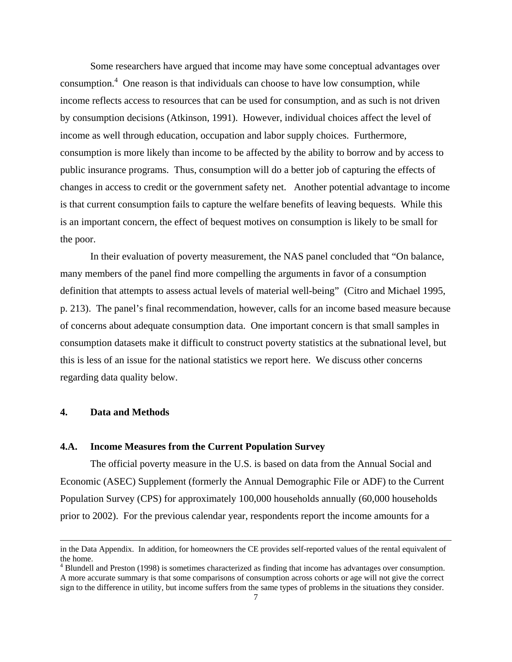Some researchers have argued that income may have some conceptual advantages over consumption.<sup>4</sup> One reason is that individuals can choose to have low consumption, while income reflects access to resources that can be used for consumption, and as such is not driven by consumption decisions (Atkinson, 1991). However, individual choices affect the level of income as well through education, occupation and labor supply choices. Furthermore, consumption is more likely than income to be affected by the ability to borrow and by access to public insurance programs. Thus, consumption will do a better job of capturing the effects of changes in access to credit or the government safety net. Another potential advantage to income is that current consumption fails to capture the welfare benefits of leaving bequests. While this is an important concern, the effect of bequest motives on consumption is likely to be small for the poor.

 In their evaluation of poverty measurement, the NAS panel concluded that "On balance, many members of the panel find more compelling the arguments in favor of a consumption definition that attempts to assess actual levels of material well-being" (Citro and Michael 1995, p. 213). The panel's final recommendation, however, calls for an income based measure because of concerns about adequate consumption data. One important concern is that small samples in consumption datasets make it difficult to construct poverty statistics at the subnational level, but this is less of an issue for the national statistics we report here. We discuss other concerns regarding data quality below.

# **4. Data and Methods**

l

#### **4.A. Income Measures from the Current Population Survey**

 The official poverty measure in the U.S. is based on data from the Annual Social and Economic (ASEC) Supplement (formerly the Annual Demographic File or ADF) to the Current Population Survey (CPS) for approximately 100,000 households annually (60,000 households prior to 2002). For the previous calendar year, respondents report the income amounts for a

in the Data Appendix. In addition, for homeowners the CE provides self-reported values of the rental equivalent of the home.

<sup>&</sup>lt;sup>4</sup> Blundell and Preston (1998) is sometimes characterized as finding that income has advantages over consumption. A more accurate summary is that some comparisons of consumption across cohorts or age will not give the correct sign to the difference in utility, but income suffers from the same types of problems in the situations they consider.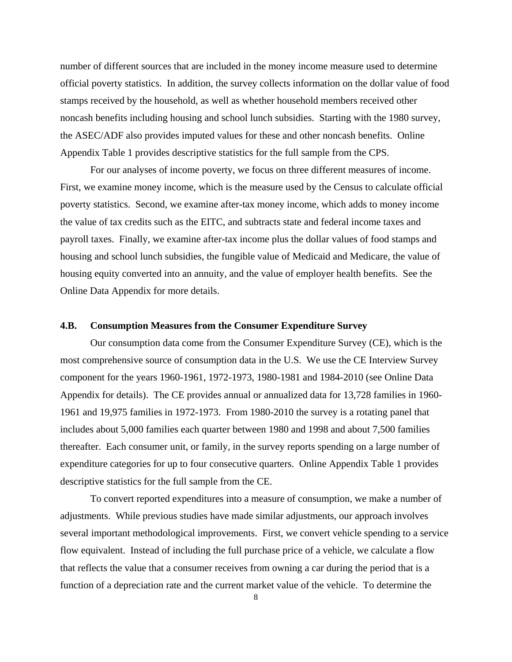number of different sources that are included in the money income measure used to determine official poverty statistics. In addition, the survey collects information on the dollar value of food stamps received by the household, as well as whether household members received other noncash benefits including housing and school lunch subsidies. Starting with the 1980 survey, the ASEC/ADF also provides imputed values for these and other noncash benefits. Online Appendix Table 1 provides descriptive statistics for the full sample from the CPS.

 For our analyses of income poverty, we focus on three different measures of income. First, we examine money income, which is the measure used by the Census to calculate official poverty statistics. Second, we examine after-tax money income, which adds to money income the value of tax credits such as the EITC, and subtracts state and federal income taxes and payroll taxes. Finally, we examine after-tax income plus the dollar values of food stamps and housing and school lunch subsidies, the fungible value of Medicaid and Medicare, the value of housing equity converted into an annuity, and the value of employer health benefits. See the Online Data Appendix for more details.

### **4.B. Consumption Measures from the Consumer Expenditure Survey**

 Our consumption data come from the Consumer Expenditure Survey (CE), which is the most comprehensive source of consumption data in the U.S. We use the CE Interview Survey component for the years 1960-1961, 1972-1973, 1980-1981 and 1984-2010 (see Online Data Appendix for details). The CE provides annual or annualized data for 13,728 families in 1960- 1961 and 19,975 families in 1972-1973. From 1980-2010 the survey is a rotating panel that includes about 5,000 families each quarter between 1980 and 1998 and about 7,500 families thereafter. Each consumer unit, or family, in the survey reports spending on a large number of expenditure categories for up to four consecutive quarters. Online Appendix Table 1 provides descriptive statistics for the full sample from the CE.

 To convert reported expenditures into a measure of consumption, we make a number of adjustments. While previous studies have made similar adjustments, our approach involves several important methodological improvements. First, we convert vehicle spending to a service flow equivalent. Instead of including the full purchase price of a vehicle, we calculate a flow that reflects the value that a consumer receives from owning a car during the period that is a function of a depreciation rate and the current market value of the vehicle. To determine the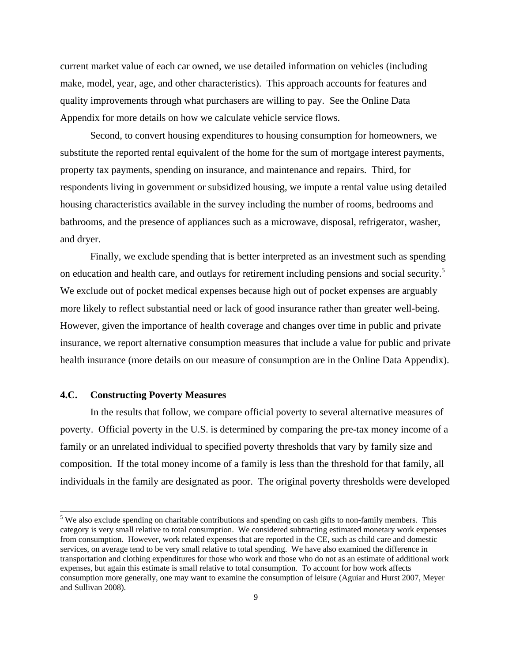current market value of each car owned, we use detailed information on vehicles (including make, model, year, age, and other characteristics). This approach accounts for features and quality improvements through what purchasers are willing to pay. See the Online Data Appendix for more details on how we calculate vehicle service flows.

 Second, to convert housing expenditures to housing consumption for homeowners, we substitute the reported rental equivalent of the home for the sum of mortgage interest payments, property tax payments, spending on insurance, and maintenance and repairs. Third, for respondents living in government or subsidized housing, we impute a rental value using detailed housing characteristics available in the survey including the number of rooms, bedrooms and bathrooms, and the presence of appliances such as a microwave, disposal, refrigerator, washer, and dryer.

 Finally, we exclude spending that is better interpreted as an investment such as spending on education and health care, and outlays for retirement including pensions and social security.<sup>5</sup> We exclude out of pocket medical expenses because high out of pocket expenses are arguably more likely to reflect substantial need or lack of good insurance rather than greater well-being. However, given the importance of health coverage and changes over time in public and private insurance, we report alternative consumption measures that include a value for public and private health insurance (more details on our measure of consumption are in the Online Data Appendix).

### **4.C. Constructing Poverty Measures**

l

 In the results that follow, we compare official poverty to several alternative measures of poverty. Official poverty in the U.S. is determined by comparing the pre-tax money income of a family or an unrelated individual to specified poverty thresholds that vary by family size and composition. If the total money income of a family is less than the threshold for that family, all individuals in the family are designated as poor. The original poverty thresholds were developed

<sup>&</sup>lt;sup>5</sup> We also exclude spending on charitable contributions and spending on cash gifts to non-family members. This category is very small relative to total consumption. We considered subtracting estimated monetary work expenses from consumption. However, work related expenses that are reported in the CE, such as child care and domestic services, on average tend to be very small relative to total spending. We have also examined the difference in transportation and clothing expenditures for those who work and those who do not as an estimate of additional work expenses, but again this estimate is small relative to total consumption. To account for how work affects consumption more generally, one may want to examine the consumption of leisure (Aguiar and Hurst 2007, Meyer and Sullivan 2008).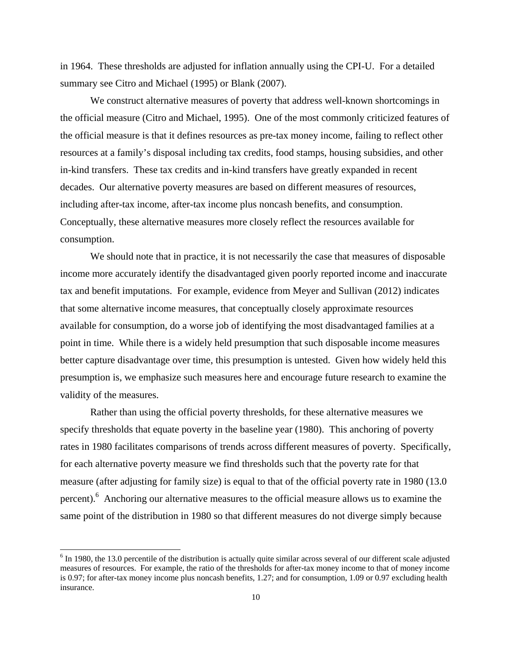in 1964. These thresholds are adjusted for inflation annually using the CPI-U. For a detailed summary see Citro and Michael (1995) or Blank (2007).

 We construct alternative measures of poverty that address well-known shortcomings in the official measure (Citro and Michael, 1995). One of the most commonly criticized features of the official measure is that it defines resources as pre-tax money income, failing to reflect other resources at a family's disposal including tax credits, food stamps, housing subsidies, and other in-kind transfers. These tax credits and in-kind transfers have greatly expanded in recent decades. Our alternative poverty measures are based on different measures of resources, including after-tax income, after-tax income plus noncash benefits, and consumption. Conceptually, these alternative measures more closely reflect the resources available for consumption.

 We should note that in practice, it is not necessarily the case that measures of disposable income more accurately identify the disadvantaged given poorly reported income and inaccurate tax and benefit imputations. For example, evidence from Meyer and Sullivan (2012) indicates that some alternative income measures, that conceptually closely approximate resources available for consumption, do a worse job of identifying the most disadvantaged families at a point in time. While there is a widely held presumption that such disposable income measures better capture disadvantage over time, this presumption is untested. Given how widely held this presumption is, we emphasize such measures here and encourage future research to examine the validity of the measures.

 Rather than using the official poverty thresholds, for these alternative measures we specify thresholds that equate poverty in the baseline year (1980). This anchoring of poverty rates in 1980 facilitates comparisons of trends across different measures of poverty. Specifically, for each alternative poverty measure we find thresholds such that the poverty rate for that measure (after adjusting for family size) is equal to that of the official poverty rate in 1980 (13.0 percent).<sup>6</sup> Anchoring our alternative measures to the official measure allows us to examine the same point of the distribution in 1980 so that different measures do not diverge simply because

 $6$  In 1980, the 13.0 percentile of the distribution is actually quite similar across several of our different scale adjusted measures of resources. For example, the ratio of the thresholds for after-tax money income to that of money income is 0.97; for after-tax money income plus noncash benefits, 1.27; and for consumption, 1.09 or 0.97 excluding health insurance.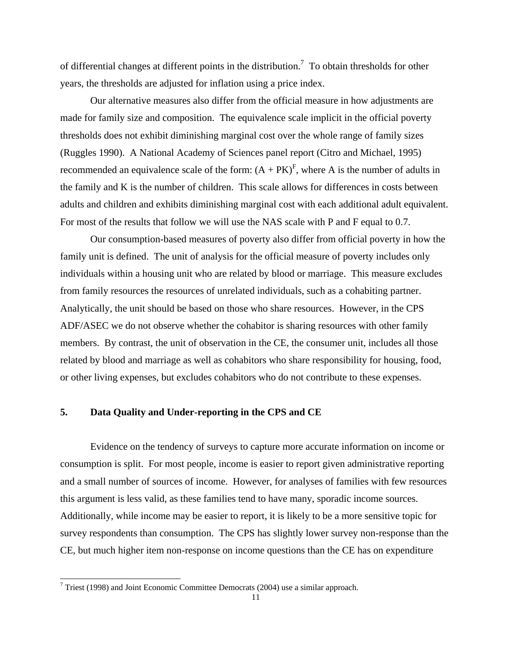of differential changes at different points in the distribution.<sup>7</sup> To obtain thresholds for other years, the thresholds are adjusted for inflation using a price index.

 Our alternative measures also differ from the official measure in how adjustments are made for family size and composition. The equivalence scale implicit in the official poverty thresholds does not exhibit diminishing marginal cost over the whole range of family sizes (Ruggles 1990). A National Academy of Sciences panel report (Citro and Michael, 1995) recommended an equivalence scale of the form:  $(A + PK)^F$ , where A is the number of adults in the family and K is the number of children. This scale allows for differences in costs between adults and children and exhibits diminishing marginal cost with each additional adult equivalent. For most of the results that follow we will use the NAS scale with P and F equal to 0.7.

 Our consumption-based measures of poverty also differ from official poverty in how the family unit is defined. The unit of analysis for the official measure of poverty includes only individuals within a housing unit who are related by blood or marriage. This measure excludes from family resources the resources of unrelated individuals, such as a cohabiting partner. Analytically, the unit should be based on those who share resources. However, in the CPS ADF/ASEC we do not observe whether the cohabitor is sharing resources with other family members. By contrast, the unit of observation in the CE, the consumer unit, includes all those related by blood and marriage as well as cohabitors who share responsibility for housing, food, or other living expenses, but excludes cohabitors who do not contribute to these expenses.

### **5. Data Quality and Under-reporting in the CPS and CE**

 Evidence on the tendency of surveys to capture more accurate information on income or consumption is split. For most people, income is easier to report given administrative reporting and a small number of sources of income. However, for analyses of families with few resources this argument is less valid, as these families tend to have many, sporadic income sources. Additionally, while income may be easier to report, it is likely to be a more sensitive topic for survey respondents than consumption. The CPS has slightly lower survey non-response than the CE, but much higher item non-response on income questions than the CE has on expenditure

<sup>&</sup>lt;sup>7</sup> Triest (1998) and Joint Economic Committee Democrats (2004) use a similar approach.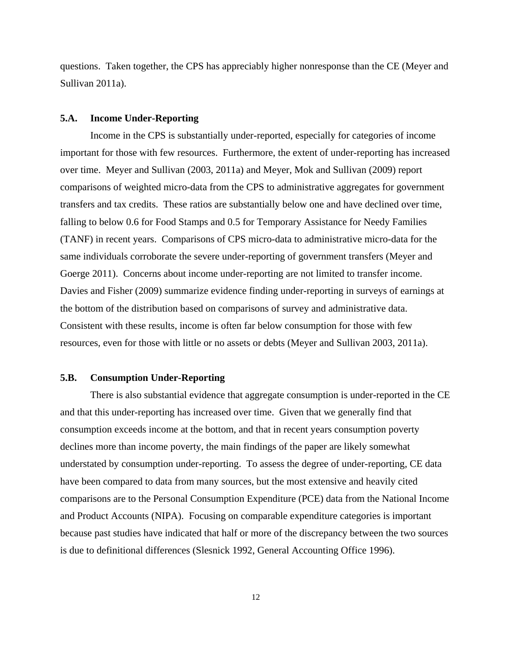questions. Taken together, the CPS has appreciably higher nonresponse than the CE (Meyer and Sullivan 2011a).

### **5.A. Income Under-Reporting**

 Income in the CPS is substantially under-reported, especially for categories of income important for those with few resources. Furthermore, the extent of under-reporting has increased over time. Meyer and Sullivan (2003, 2011a) and Meyer, Mok and Sullivan (2009) report comparisons of weighted micro-data from the CPS to administrative aggregates for government transfers and tax credits. These ratios are substantially below one and have declined over time, falling to below 0.6 for Food Stamps and 0.5 for Temporary Assistance for Needy Families (TANF) in recent years. Comparisons of CPS micro-data to administrative micro-data for the same individuals corroborate the severe under-reporting of government transfers (Meyer and Goerge 2011). Concerns about income under-reporting are not limited to transfer income. Davies and Fisher (2009) summarize evidence finding under-reporting in surveys of earnings at the bottom of the distribution based on comparisons of survey and administrative data. Consistent with these results, income is often far below consumption for those with few resources, even for those with little or no assets or debts (Meyer and Sullivan 2003, 2011a).

## **5.B. Consumption Under-Reporting**

 There is also substantial evidence that aggregate consumption is under-reported in the CE and that this under-reporting has increased over time. Given that we generally find that consumption exceeds income at the bottom, and that in recent years consumption poverty declines more than income poverty, the main findings of the paper are likely somewhat understated by consumption under-reporting. To assess the degree of under-reporting, CE data have been compared to data from many sources, but the most extensive and heavily cited comparisons are to the Personal Consumption Expenditure (PCE) data from the National Income and Product Accounts (NIPA). Focusing on comparable expenditure categories is important because past studies have indicated that half or more of the discrepancy between the two sources is due to definitional differences (Slesnick 1992, General Accounting Office 1996).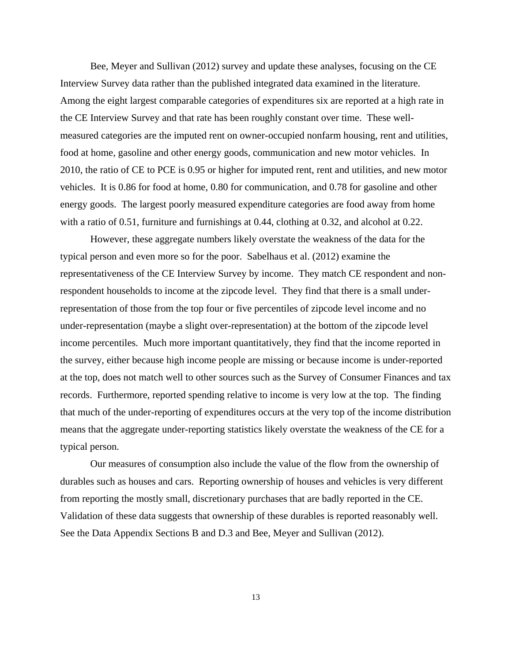Bee, Meyer and Sullivan (2012) survey and update these analyses, focusing on the CE Interview Survey data rather than the published integrated data examined in the literature. Among the eight largest comparable categories of expenditures six are reported at a high rate in the CE Interview Survey and that rate has been roughly constant over time. These wellmeasured categories are the imputed rent on owner-occupied nonfarm housing, rent and utilities, food at home, gasoline and other energy goods, communication and new motor vehicles. In 2010, the ratio of CE to PCE is 0.95 or higher for imputed rent, rent and utilities, and new motor vehicles. It is 0.86 for food at home, 0.80 for communication, and 0.78 for gasoline and other energy goods. The largest poorly measured expenditure categories are food away from home with a ratio of 0.51, furniture and furnishings at 0.44, clothing at 0.32, and alcohol at 0.22.

 However, these aggregate numbers likely overstate the weakness of the data for the typical person and even more so for the poor. Sabelhaus et al. (2012) examine the representativeness of the CE Interview Survey by income. They match CE respondent and nonrespondent households to income at the zipcode level. They find that there is a small underrepresentation of those from the top four or five percentiles of zipcode level income and no under-representation (maybe a slight over-representation) at the bottom of the zipcode level income percentiles. Much more important quantitatively, they find that the income reported in the survey, either because high income people are missing or because income is under-reported at the top, does not match well to other sources such as the Survey of Consumer Finances and tax records. Furthermore, reported spending relative to income is very low at the top. The finding that much of the under-reporting of expenditures occurs at the very top of the income distribution means that the aggregate under-reporting statistics likely overstate the weakness of the CE for a typical person.

 Our measures of consumption also include the value of the flow from the ownership of durables such as houses and cars. Reporting ownership of houses and vehicles is very different from reporting the mostly small, discretionary purchases that are badly reported in the CE. Validation of these data suggests that ownership of these durables is reported reasonably well. See the Data Appendix Sections B and D.3 and Bee, Meyer and Sullivan (2012).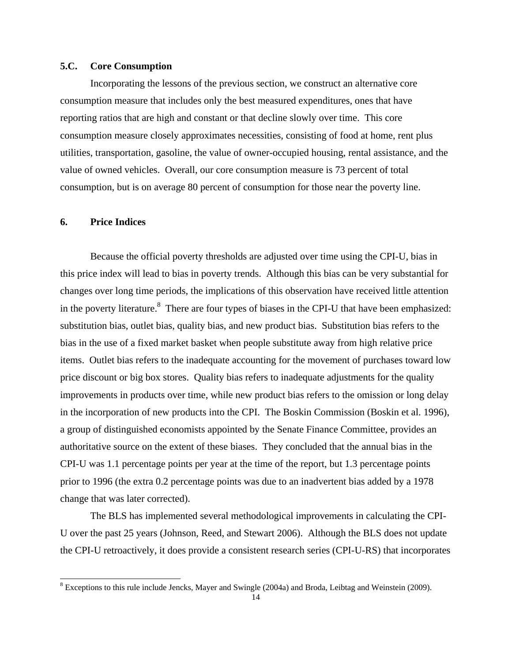### **5.C. Core Consumption**

 Incorporating the lessons of the previous section, we construct an alternative core consumption measure that includes only the best measured expenditures, ones that have reporting ratios that are high and constant or that decline slowly over time. This core consumption measure closely approximates necessities, consisting of food at home, rent plus utilities, transportation, gasoline, the value of owner-occupied housing, rental assistance, and the value of owned vehicles. Overall, our core consumption measure is 73 percent of total consumption, but is on average 80 percent of consumption for those near the poverty line.

## **6. Price Indices**

 $\overline{a}$ 

 Because the official poverty thresholds are adjusted over time using the CPI-U, bias in this price index will lead to bias in poverty trends. Although this bias can be very substantial for changes over long time periods, the implications of this observation have received little attention in the poverty literature.<sup>8</sup> There are four types of biases in the CPI-U that have been emphasized: substitution bias, outlet bias, quality bias, and new product bias. Substitution bias refers to the bias in the use of a fixed market basket when people substitute away from high relative price items. Outlet bias refers to the inadequate accounting for the movement of purchases toward low price discount or big box stores. Quality bias refers to inadequate adjustments for the quality improvements in products over time, while new product bias refers to the omission or long delay in the incorporation of new products into the CPI. The Boskin Commission (Boskin et al. 1996), a group of distinguished economists appointed by the Senate Finance Committee, provides an authoritative source on the extent of these biases. They concluded that the annual bias in the CPI-U was 1.1 percentage points per year at the time of the report, but 1.3 percentage points prior to 1996 (the extra 0.2 percentage points was due to an inadvertent bias added by a 1978 change that was later corrected).

 The BLS has implemented several methodological improvements in calculating the CPI-U over the past 25 years (Johnson, Reed, and Stewart 2006). Although the BLS does not update the CPI-U retroactively, it does provide a consistent research series (CPI-U-RS) that incorporates

 $8$  Exceptions to this rule include Jencks, Mayer and Swingle (2004a) and Broda, Leibtag and Weinstein (2009).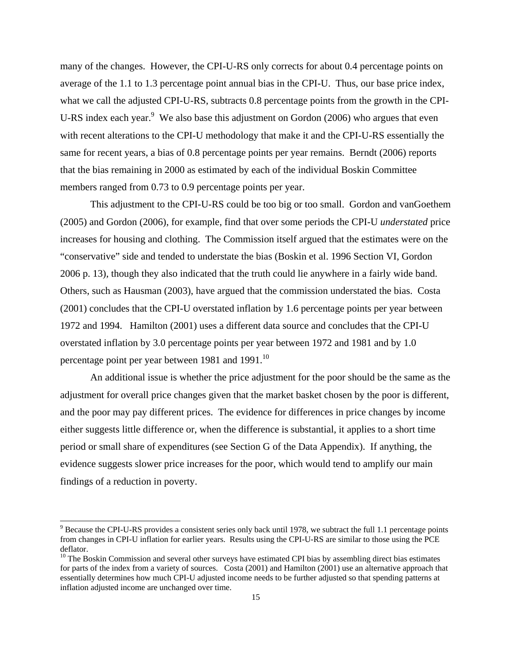many of the changes. However, the CPI-U-RS only corrects for about 0.4 percentage points on average of the 1.1 to 1.3 percentage point annual bias in the CPI-U. Thus, our base price index, what we call the adjusted CPI-U-RS, subtracts 0.8 percentage points from the growth in the CPI-U-RS index each year. $9$  We also base this adjustment on Gordon (2006) who argues that even with recent alterations to the CPI-U methodology that make it and the CPI-U-RS essentially the same for recent years, a bias of 0.8 percentage points per year remains. Berndt (2006) reports that the bias remaining in 2000 as estimated by each of the individual Boskin Committee members ranged from 0.73 to 0.9 percentage points per year.

 This adjustment to the CPI-U-RS could be too big or too small. Gordon and vanGoethem (2005) and Gordon (2006), for example, find that over some periods the CPI-U *understated* price increases for housing and clothing. The Commission itself argued that the estimates were on the "conservative" side and tended to understate the bias (Boskin et al. 1996 Section VI, Gordon 2006 p. 13), though they also indicated that the truth could lie anywhere in a fairly wide band. Others, such as Hausman (2003), have argued that the commission understated the bias. Costa (2001) concludes that the CPI-U overstated inflation by 1.6 percentage points per year between 1972 and 1994. Hamilton (2001) uses a different data source and concludes that the CPI-U overstated inflation by 3.0 percentage points per year between 1972 and 1981 and by 1.0 percentage point per year between 1981 and 1991.<sup>10</sup>

 An additional issue is whether the price adjustment for the poor should be the same as the adjustment for overall price changes given that the market basket chosen by the poor is different, and the poor may pay different prices. The evidence for differences in price changes by income either suggests little difference or, when the difference is substantial, it applies to a short time period or small share of expenditures (see Section G of the Data Appendix). If anything, the evidence suggests slower price increases for the poor, which would tend to amplify our main findings of a reduction in poverty.

 $9^9$  Because the CPI-U-RS provides a consistent series only back until 1978, we subtract the full 1.1 percentage points from changes in CPI-U inflation for earlier years. Results using the CPI-U-RS are similar to those using the PCE deflator.

<sup>&</sup>lt;sup>10</sup> The Boskin Commission and several other surveys have estimated CPI bias by assembling direct bias estimates for parts of the index from a variety of sources. Costa (2001) and Hamilton (2001) use an alternative approach that essentially determines how much CPI-U adjusted income needs to be further adjusted so that spending patterns at inflation adjusted income are unchanged over time.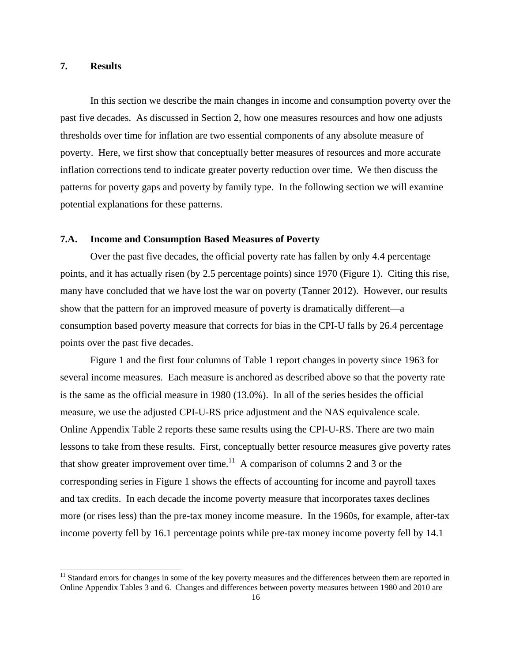## **7. Results**

l

 In this section we describe the main changes in income and consumption poverty over the past five decades. As discussed in Section 2, how one measures resources and how one adjusts thresholds over time for inflation are two essential components of any absolute measure of poverty. Here, we first show that conceptually better measures of resources and more accurate inflation corrections tend to indicate greater poverty reduction over time. We then discuss the patterns for poverty gaps and poverty by family type. In the following section we will examine potential explanations for these patterns.

## **7.A. Income and Consumption Based Measures of Poverty**

 Over the past five decades, the official poverty rate has fallen by only 4.4 percentage points, and it has actually risen (by 2.5 percentage points) since 1970 (Figure 1). Citing this rise, many have concluded that we have lost the war on poverty (Tanner 2012). However, our results show that the pattern for an improved measure of poverty is dramatically different—a consumption based poverty measure that corrects for bias in the CPI-U falls by 26.4 percentage points over the past five decades.

 Figure 1 and the first four columns of Table 1 report changes in poverty since 1963 for several income measures. Each measure is anchored as described above so that the poverty rate is the same as the official measure in 1980 (13.0%). In all of the series besides the official measure, we use the adjusted CPI-U-RS price adjustment and the NAS equivalence scale. Online Appendix Table 2 reports these same results using the CPI-U-RS. There are two main lessons to take from these results. First, conceptually better resource measures give poverty rates that show greater improvement over time.<sup>11</sup> A comparison of columns 2 and 3 or the corresponding series in Figure 1 shows the effects of accounting for income and payroll taxes and tax credits. In each decade the income poverty measure that incorporates taxes declines more (or rises less) than the pre-tax money income measure. In the 1960s, for example, after-tax income poverty fell by 16.1 percentage points while pre-tax money income poverty fell by 14.1

<sup>&</sup>lt;sup>11</sup> Standard errors for changes in some of the key poverty measures and the differences between them are reported in Online Appendix Tables 3 and 6. Changes and differences between poverty measures between 1980 and 2010 are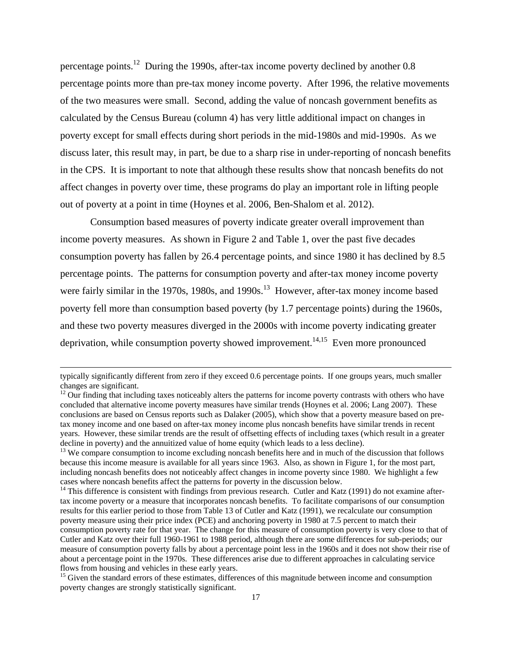percentage points.12 During the 1990s, after-tax income poverty declined by another 0.8 percentage points more than pre-tax money income poverty. After 1996, the relative movements of the two measures were small. Second, adding the value of noncash government benefits as calculated by the Census Bureau (column 4) has very little additional impact on changes in poverty except for small effects during short periods in the mid-1980s and mid-1990s. As we discuss later, this result may, in part, be due to a sharp rise in under-reporting of noncash benefits in the CPS. It is important to note that although these results show that noncash benefits do not affect changes in poverty over time, these programs do play an important role in lifting people out of poverty at a point in time (Hoynes et al. 2006, Ben-Shalom et al. 2012).

 Consumption based measures of poverty indicate greater overall improvement than income poverty measures. As shown in Figure 2 and Table 1, over the past five decades consumption poverty has fallen by 26.4 percentage points, and since 1980 it has declined by 8.5 percentage points. The patterns for consumption poverty and after-tax money income poverty were fairly similar in the 1970s, 1980s, and 1990s.<sup>13</sup> However, after-tax money income based poverty fell more than consumption based poverty (by 1.7 percentage points) during the 1960s, and these two poverty measures diverged in the 2000s with income poverty indicating greater deprivation, while consumption poverty showed improvement.<sup>14,15</sup> Even more pronounced

typically significantly different from zero if they exceed 0.6 percentage points. If one groups years, much smaller changes are significant.

 $12$  Our finding that including taxes noticeably alters the patterns for income poverty contrasts with others who have concluded that alternative income poverty measures have similar trends (Hoynes et al. 2006; Lang 2007). These conclusions are based on Census reports such as Dalaker (2005), which show that a poverty measure based on pretax money income and one based on after-tax money income plus noncash benefits have similar trends in recent years. However, these similar trends are the result of offsetting effects of including taxes (which result in a greater decline in poverty) and the annuitized value of home equity (which leads to a less decline).

<sup>&</sup>lt;sup>13</sup> We compare consumption to income excluding noncash benefits here and in much of the discussion that follows because this income measure is available for all years since 1963. Also, as shown in Figure 1, for the most part, including noncash benefits does not noticeably affect changes in income poverty since 1980. We highlight a few cases where noncash benefits affect the patterns for poverty in the discussion below.<br><sup>14</sup> This difference is consistent with findings from previous research. Cutler and Katz (1991) do not examine after-

tax income poverty or a measure that incorporates noncash benefits. To facilitate comparisons of our consumption results for this earlier period to those from Table 13 of Cutler and Katz (1991), we recalculate our consumption poverty measure using their price index (PCE) and anchoring poverty in 1980 at 7.5 percent to match their consumption poverty rate for that year. The change for this measure of consumption poverty is very close to that of Cutler and Katz over their full 1960-1961 to 1988 period, although there are some differences for sub-periods; our measure of consumption poverty falls by about a percentage point less in the 1960s and it does not show their rise of about a percentage point in the 1970s. These differences arise due to different approaches in calculating service flows from housing and vehicles in these early years.

<sup>&</sup>lt;sup>15</sup> Given the standard errors of these estimates, differences of this magnitude between income and consumption poverty changes are strongly statistically significant.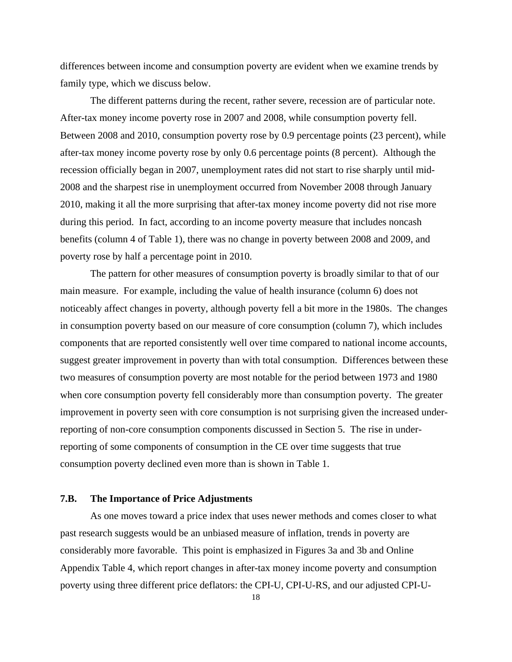differences between income and consumption poverty are evident when we examine trends by family type, which we discuss below.

 The different patterns during the recent, rather severe, recession are of particular note. After-tax money income poverty rose in 2007 and 2008, while consumption poverty fell. Between 2008 and 2010, consumption poverty rose by 0.9 percentage points (23 percent), while after-tax money income poverty rose by only 0.6 percentage points (8 percent). Although the recession officially began in 2007, unemployment rates did not start to rise sharply until mid-2008 and the sharpest rise in unemployment occurred from November 2008 through January 2010, making it all the more surprising that after-tax money income poverty did not rise more during this period. In fact, according to an income poverty measure that includes noncash benefits (column 4 of Table 1), there was no change in poverty between 2008 and 2009, and poverty rose by half a percentage point in 2010.

 The pattern for other measures of consumption poverty is broadly similar to that of our main measure. For example, including the value of health insurance (column 6) does not noticeably affect changes in poverty, although poverty fell a bit more in the 1980s. The changes in consumption poverty based on our measure of core consumption (column 7), which includes components that are reported consistently well over time compared to national income accounts, suggest greater improvement in poverty than with total consumption. Differences between these two measures of consumption poverty are most notable for the period between 1973 and 1980 when core consumption poverty fell considerably more than consumption poverty. The greater improvement in poverty seen with core consumption is not surprising given the increased underreporting of non-core consumption components discussed in Section 5. The rise in underreporting of some components of consumption in the CE over time suggests that true consumption poverty declined even more than is shown in Table 1.

### **7.B. The Importance of Price Adjustments**

 As one moves toward a price index that uses newer methods and comes closer to what past research suggests would be an unbiased measure of inflation, trends in poverty are considerably more favorable. This point is emphasized in Figures 3a and 3b and Online Appendix Table 4, which report changes in after-tax money income poverty and consumption poverty using three different price deflators: the CPI-U, CPI-U-RS, and our adjusted CPI-U-

18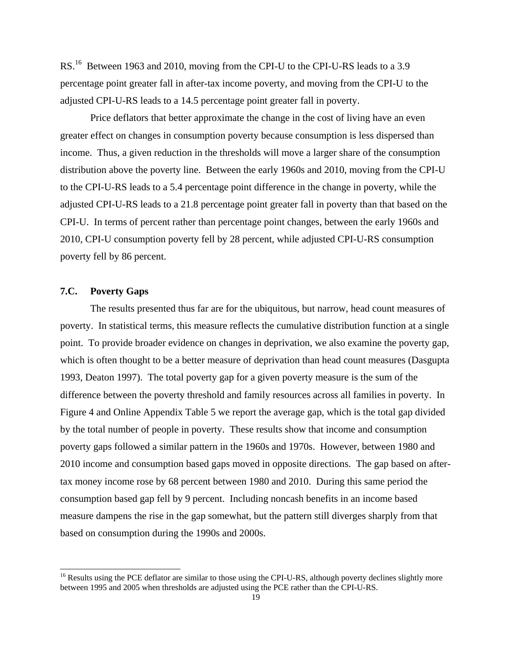RS.<sup>16</sup> Between 1963 and 2010, moving from the CPI-U to the CPI-U-RS leads to a 3.9 percentage point greater fall in after-tax income poverty, and moving from the CPI-U to the adjusted CPI-U-RS leads to a 14.5 percentage point greater fall in poverty.

 Price deflators that better approximate the change in the cost of living have an even greater effect on changes in consumption poverty because consumption is less dispersed than income. Thus, a given reduction in the thresholds will move a larger share of the consumption distribution above the poverty line. Between the early 1960s and 2010, moving from the CPI-U to the CPI-U-RS leads to a 5.4 percentage point difference in the change in poverty, while the adjusted CPI-U-RS leads to a 21.8 percentage point greater fall in poverty than that based on the CPI-U. In terms of percent rather than percentage point changes, between the early 1960s and 2010, CPI-U consumption poverty fell by 28 percent, while adjusted CPI-U-RS consumption poverty fell by 86 percent.

# **7.C. Poverty Gaps**

l

 The results presented thus far are for the ubiquitous, but narrow, head count measures of poverty. In statistical terms, this measure reflects the cumulative distribution function at a single point. To provide broader evidence on changes in deprivation, we also examine the poverty gap, which is often thought to be a better measure of deprivation than head count measures (Dasgupta 1993, Deaton 1997). The total poverty gap for a given poverty measure is the sum of the difference between the poverty threshold and family resources across all families in poverty. In Figure 4 and Online Appendix Table 5 we report the average gap, which is the total gap divided by the total number of people in poverty. These results show that income and consumption poverty gaps followed a similar pattern in the 1960s and 1970s. However, between 1980 and 2010 income and consumption based gaps moved in opposite directions. The gap based on aftertax money income rose by 68 percent between 1980 and 2010. During this same period the consumption based gap fell by 9 percent. Including noncash benefits in an income based measure dampens the rise in the gap somewhat, but the pattern still diverges sharply from that based on consumption during the 1990s and 2000s.

<sup>&</sup>lt;sup>16</sup> Results using the PCE deflator are similar to those using the CPI-U-RS, although poverty declines slightly more between 1995 and 2005 when thresholds are adjusted using the PCE rather than the CPI-U-RS.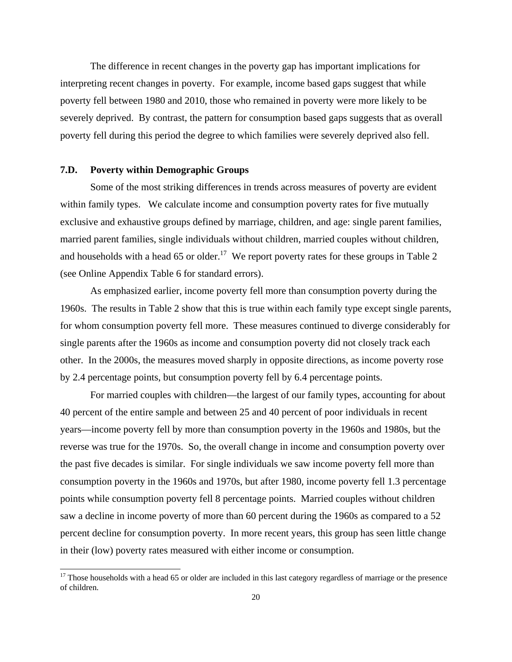The difference in recent changes in the poverty gap has important implications for interpreting recent changes in poverty. For example, income based gaps suggest that while poverty fell between 1980 and 2010, those who remained in poverty were more likely to be severely deprived. By contrast, the pattern for consumption based gaps suggests that as overall poverty fell during this period the degree to which families were severely deprived also fell.

### **7.D. Poverty within Demographic Groups**

l

 Some of the most striking differences in trends across measures of poverty are evident within family types. We calculate income and consumption poverty rates for five mutually exclusive and exhaustive groups defined by marriage, children, and age: single parent families, married parent families, single individuals without children, married couples without children, and households with a head 65 or older.<sup>17</sup> We report poverty rates for these groups in Table 2 (see Online Appendix Table 6 for standard errors).

 As emphasized earlier, income poverty fell more than consumption poverty during the 1960s. The results in Table 2 show that this is true within each family type except single parents, for whom consumption poverty fell more. These measures continued to diverge considerably for single parents after the 1960s as income and consumption poverty did not closely track each other. In the 2000s, the measures moved sharply in opposite directions, as income poverty rose by 2.4 percentage points, but consumption poverty fell by 6.4 percentage points.

 For married couples with children—the largest of our family types, accounting for about 40 percent of the entire sample and between 25 and 40 percent of poor individuals in recent years—income poverty fell by more than consumption poverty in the 1960s and 1980s, but the reverse was true for the 1970s. So, the overall change in income and consumption poverty over the past five decades is similar. For single individuals we saw income poverty fell more than consumption poverty in the 1960s and 1970s, but after 1980, income poverty fell 1.3 percentage points while consumption poverty fell 8 percentage points. Married couples without children saw a decline in income poverty of more than 60 percent during the 1960s as compared to a 52 percent decline for consumption poverty. In more recent years, this group has seen little change in their (low) poverty rates measured with either income or consumption.

 $17$  Those households with a head 65 or older are included in this last category regardless of marriage or the presence of children.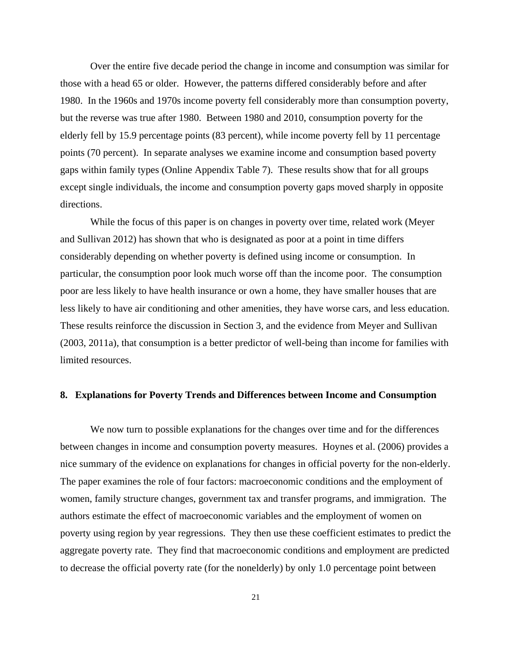Over the entire five decade period the change in income and consumption was similar for those with a head 65 or older. However, the patterns differed considerably before and after 1980. In the 1960s and 1970s income poverty fell considerably more than consumption poverty, but the reverse was true after 1980. Between 1980 and 2010, consumption poverty for the elderly fell by 15.9 percentage points (83 percent), while income poverty fell by 11 percentage points (70 percent). In separate analyses we examine income and consumption based poverty gaps within family types (Online Appendix Table 7). These results show that for all groups except single individuals, the income and consumption poverty gaps moved sharply in opposite directions.

 While the focus of this paper is on changes in poverty over time, related work (Meyer and Sullivan 2012) has shown that who is designated as poor at a point in time differs considerably depending on whether poverty is defined using income or consumption. In particular, the consumption poor look much worse off than the income poor. The consumption poor are less likely to have health insurance or own a home, they have smaller houses that are less likely to have air conditioning and other amenities, they have worse cars, and less education. These results reinforce the discussion in Section 3, and the evidence from Meyer and Sullivan (2003, 2011a), that consumption is a better predictor of well-being than income for families with limited resources.

#### **8. Explanations for Poverty Trends and Differences between Income and Consumption**

 We now turn to possible explanations for the changes over time and for the differences between changes in income and consumption poverty measures. Hoynes et al. (2006) provides a nice summary of the evidence on explanations for changes in official poverty for the non-elderly. The paper examines the role of four factors: macroeconomic conditions and the employment of women, family structure changes, government tax and transfer programs, and immigration. The authors estimate the effect of macroeconomic variables and the employment of women on poverty using region by year regressions. They then use these coefficient estimates to predict the aggregate poverty rate. They find that macroeconomic conditions and employment are predicted to decrease the official poverty rate (for the nonelderly) by only 1.0 percentage point between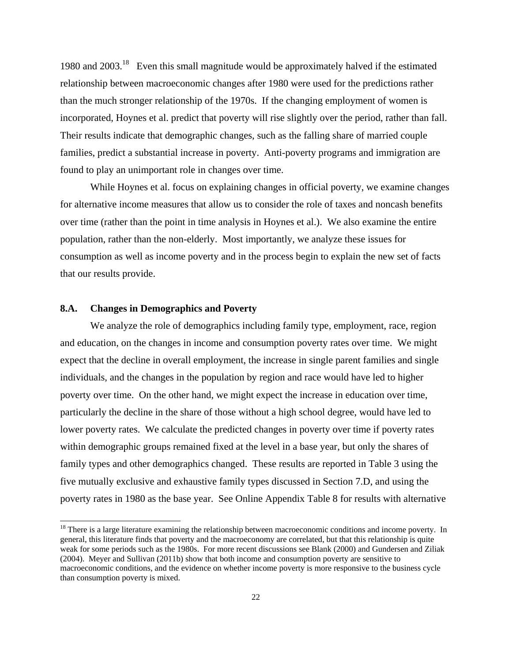1980 and 2003.18 Even this small magnitude would be approximately halved if the estimated relationship between macroeconomic changes after 1980 were used for the predictions rather than the much stronger relationship of the 1970s. If the changing employment of women is incorporated, Hoynes et al. predict that poverty will rise slightly over the period, rather than fall. Their results indicate that demographic changes, such as the falling share of married couple families, predict a substantial increase in poverty. Anti-poverty programs and immigration are found to play an unimportant role in changes over time.

 While Hoynes et al. focus on explaining changes in official poverty, we examine changes for alternative income measures that allow us to consider the role of taxes and noncash benefits over time (rather than the point in time analysis in Hoynes et al.). We also examine the entire population, rather than the non-elderly. Most importantly, we analyze these issues for consumption as well as income poverty and in the process begin to explain the new set of facts that our results provide.

# **8.A. Changes in Demographics and Poverty**

 $\overline{a}$ 

 We analyze the role of demographics including family type, employment, race, region and education, on the changes in income and consumption poverty rates over time. We might expect that the decline in overall employment, the increase in single parent families and single individuals, and the changes in the population by region and race would have led to higher poverty over time. On the other hand, we might expect the increase in education over time, particularly the decline in the share of those without a high school degree, would have led to lower poverty rates. We calculate the predicted changes in poverty over time if poverty rates within demographic groups remained fixed at the level in a base year, but only the shares of family types and other demographics changed. These results are reported in Table 3 using the five mutually exclusive and exhaustive family types discussed in Section 7.D, and using the poverty rates in 1980 as the base year. See Online Appendix Table 8 for results with alternative

<sup>&</sup>lt;sup>18</sup> There is a large literature examining the relationship between macroeconomic conditions and income poverty. In general, this literature finds that poverty and the macroeconomy are correlated, but that this relationship is quite weak for some periods such as the 1980s. For more recent discussions see Blank (2000) and Gundersen and Ziliak (2004). Meyer and Sullivan (2011b) show that both income and consumption poverty are sensitive to macroeconomic conditions, and the evidence on whether income poverty is more responsive to the business cycle than consumption poverty is mixed.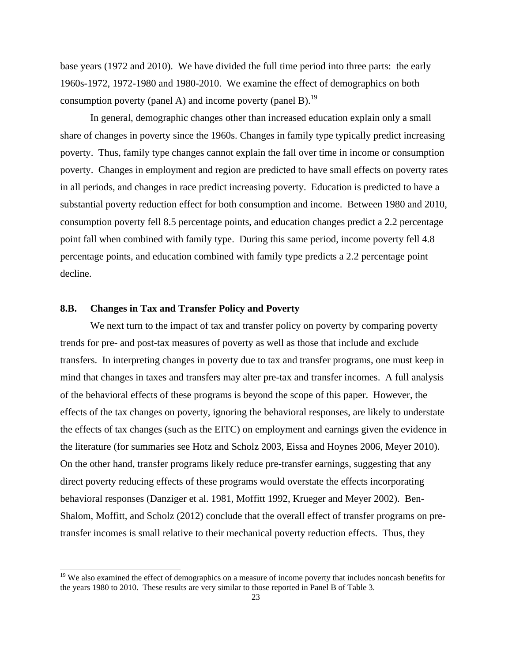base years (1972 and 2010). We have divided the full time period into three parts: the early 1960s-1972, 1972-1980 and 1980-2010. We examine the effect of demographics on both consumption poverty (panel A) and income poverty (panel B).<sup>19</sup>

 In general, demographic changes other than increased education explain only a small share of changes in poverty since the 1960s. Changes in family type typically predict increasing poverty. Thus, family type changes cannot explain the fall over time in income or consumption poverty. Changes in employment and region are predicted to have small effects on poverty rates in all periods, and changes in race predict increasing poverty. Education is predicted to have a substantial poverty reduction effect for both consumption and income. Between 1980 and 2010, consumption poverty fell 8.5 percentage points, and education changes predict a 2.2 percentage point fall when combined with family type. During this same period, income poverty fell 4.8 percentage points, and education combined with family type predicts a 2.2 percentage point decline.

# **8.B. Changes in Tax and Transfer Policy and Poverty**

l

 We next turn to the impact of tax and transfer policy on poverty by comparing poverty trends for pre- and post-tax measures of poverty as well as those that include and exclude transfers. In interpreting changes in poverty due to tax and transfer programs, one must keep in mind that changes in taxes and transfers may alter pre-tax and transfer incomes. A full analysis of the behavioral effects of these programs is beyond the scope of this paper. However, the effects of the tax changes on poverty, ignoring the behavioral responses, are likely to understate the effects of tax changes (such as the EITC) on employment and earnings given the evidence in the literature (for summaries see Hotz and Scholz 2003, Eissa and Hoynes 2006, Meyer 2010). On the other hand, transfer programs likely reduce pre-transfer earnings, suggesting that any direct poverty reducing effects of these programs would overstate the effects incorporating behavioral responses (Danziger et al. 1981, Moffitt 1992, Krueger and Meyer 2002). Ben-Shalom, Moffitt, and Scholz (2012) conclude that the overall effect of transfer programs on pretransfer incomes is small relative to their mechanical poverty reduction effects. Thus, they

<sup>&</sup>lt;sup>19</sup> We also examined the effect of demographics on a measure of income poverty that includes noncash benefits for the years 1980 to 2010. These results are very similar to those reported in Panel B of Table 3.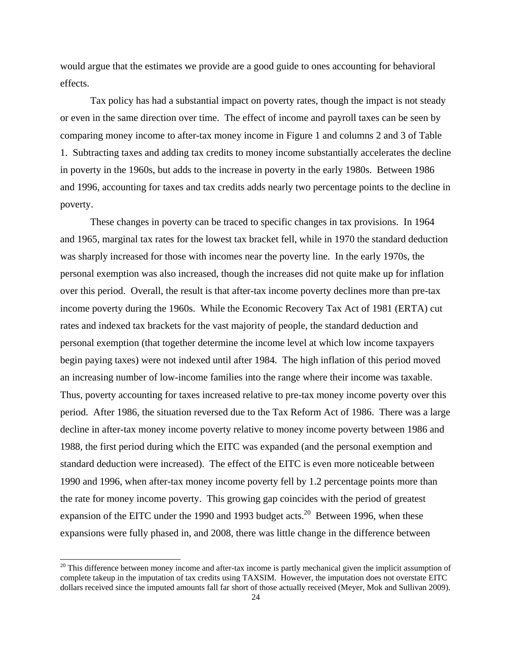would argue that the estimates we provide are a good guide to ones accounting for behavioral effects.

 Tax policy has had a substantial impact on poverty rates, though the impact is not steady or even in the same direction over time. The effect of income and payroll taxes can be seen by comparing money income to after-tax money income in Figure 1 and columns 2 and 3 of Table 1. Subtracting taxes and adding tax credits to money income substantially accelerates the decline in poverty in the 1960s, but adds to the increase in poverty in the early 1980s. Between 1986 and 1996, accounting for taxes and tax credits adds nearly two percentage points to the decline in poverty.

 These changes in poverty can be traced to specific changes in tax provisions. In 1964 and 1965, marginal tax rates for the lowest tax bracket fell, while in 1970 the standard deduction was sharply increased for those with incomes near the poverty line. In the early 1970s, the personal exemption was also increased, though the increases did not quite make up for inflation over this period. Overall, the result is that after-tax income poverty declines more than pre-tax income poverty during the 1960s. While the Economic Recovery Tax Act of 1981 (ERTA) cut rates and indexed tax brackets for the vast majority of people, the standard deduction and personal exemption (that together determine the income level at which low income taxpayers begin paying taxes) were not indexed until after 1984. The high inflation of this period moved an increasing number of low-income families into the range where their income was taxable. Thus, poverty accounting for taxes increased relative to pre-tax money income poverty over this period. After 1986, the situation reversed due to the Tax Reform Act of 1986. There was a large decline in after-tax money income poverty relative to money income poverty between 1986 and 1988, the first period during which the EITC was expanded (and the personal exemption and standard deduction were increased). The effect of the EITC is even more noticeable between 1990 and 1996, when after-tax money income poverty fell by 1.2 percentage points more than the rate for money income poverty. This growing gap coincides with the period of greatest expansion of the EITC under the 1990 and 1993 budget acts.<sup>20</sup> Between 1996, when these expansions were fully phased in, and 2008, there was little change in the difference between

 $20$  This difference between money income and after-tax income is partly mechanical given the implicit assumption of complete takeup in the imputation of tax credits using TAXSIM. However, the imputation does not overstate EITC dollars received since the imputed amounts fall far short of those actually received (Meyer, Mok and Sullivan 2009).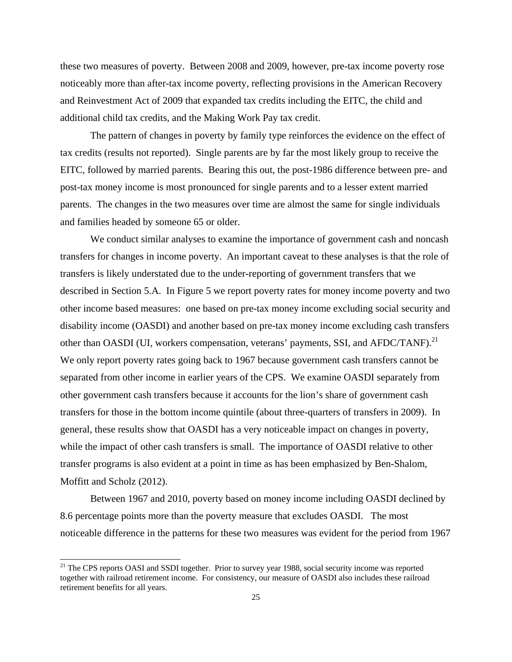these two measures of poverty. Between 2008 and 2009, however, pre-tax income poverty rose noticeably more than after-tax income poverty, reflecting provisions in the American Recovery and Reinvestment Act of 2009 that expanded tax credits including the EITC, the child and additional child tax credits, and the Making Work Pay tax credit.

 The pattern of changes in poverty by family type reinforces the evidence on the effect of tax credits (results not reported). Single parents are by far the most likely group to receive the EITC, followed by married parents. Bearing this out, the post-1986 difference between pre- and post-tax money income is most pronounced for single parents and to a lesser extent married parents. The changes in the two measures over time are almost the same for single individuals and families headed by someone 65 or older.

We conduct similar analyses to examine the importance of government cash and noncash transfers for changes in income poverty. An important caveat to these analyses is that the role of transfers is likely understated due to the under-reporting of government transfers that we described in Section 5.A. In Figure 5 we report poverty rates for money income poverty and two other income based measures: one based on pre-tax money income excluding social security and disability income (OASDI) and another based on pre-tax money income excluding cash transfers other than OASDI (UI, workers compensation, veterans' payments, SSI, and AFDC/TANF).<sup>21</sup> We only report poverty rates going back to 1967 because government cash transfers cannot be separated from other income in earlier years of the CPS. We examine OASDI separately from other government cash transfers because it accounts for the lion's share of government cash transfers for those in the bottom income quintile (about three-quarters of transfers in 2009). In general, these results show that OASDI has a very noticeable impact on changes in poverty, while the impact of other cash transfers is small. The importance of OASDI relative to other transfer programs is also evident at a point in time as has been emphasized by Ben-Shalom, Moffitt and Scholz (2012).

Between 1967 and 2010, poverty based on money income including OASDI declined by 8.6 percentage points more than the poverty measure that excludes OASDI. The most noticeable difference in the patterns for these two measures was evident for the period from 1967

<sup>&</sup>lt;sup>21</sup> The CPS reports OASI and SSDI together. Prior to survey year 1988, social security income was reported together with railroad retirement income. For consistency, our measure of OASDI also includes these railroad retirement benefits for all years.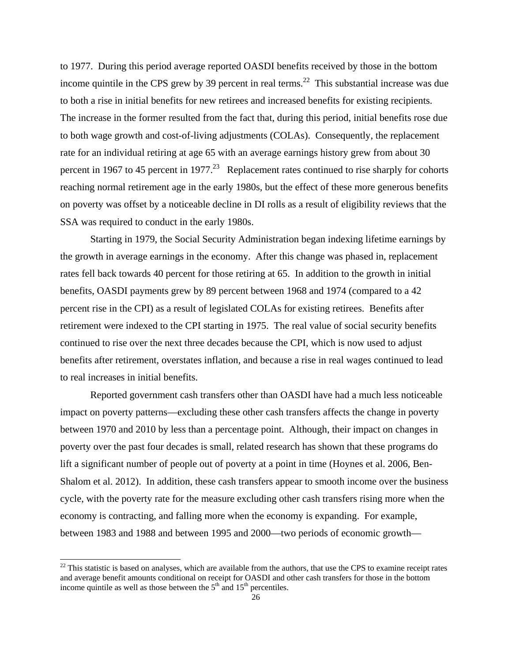to 1977. During this period average reported OASDI benefits received by those in the bottom income quintile in the CPS grew by 39 percent in real terms.<sup>22</sup> This substantial increase was due to both a rise in initial benefits for new retirees and increased benefits for existing recipients. The increase in the former resulted from the fact that, during this period, initial benefits rose due to both wage growth and cost-of-living adjustments (COLAs). Consequently, the replacement rate for an individual retiring at age 65 with an average earnings history grew from about 30 percent in 1967 to 45 percent in 1977.<sup>23</sup> Replacement rates continued to rise sharply for cohorts reaching normal retirement age in the early 1980s, but the effect of these more generous benefits on poverty was offset by a noticeable decline in DI rolls as a result of eligibility reviews that the SSA was required to conduct in the early 1980s.

Starting in 1979, the Social Security Administration began indexing lifetime earnings by the growth in average earnings in the economy. After this change was phased in, replacement rates fell back towards 40 percent for those retiring at 65. In addition to the growth in initial benefits, OASDI payments grew by 89 percent between 1968 and 1974 (compared to a 42 percent rise in the CPI) as a result of legislated COLAs for existing retirees. Benefits after retirement were indexed to the CPI starting in 1975. The real value of social security benefits continued to rise over the next three decades because the CPI, which is now used to adjust benefits after retirement, overstates inflation, and because a rise in real wages continued to lead to real increases in initial benefits.

 Reported government cash transfers other than OASDI have had a much less noticeable impact on poverty patterns—excluding these other cash transfers affects the change in poverty between 1970 and 2010 by less than a percentage point. Although, their impact on changes in poverty over the past four decades is small, related research has shown that these programs do lift a significant number of people out of poverty at a point in time (Hoynes et al. 2006, Ben-Shalom et al. 2012). In addition, these cash transfers appear to smooth income over the business cycle, with the poverty rate for the measure excluding other cash transfers rising more when the economy is contracting, and falling more when the economy is expanding. For example, between 1983 and 1988 and between 1995 and 2000—two periods of economic growth—

 $22$  This statistic is based on analyses, which are available from the authors, that use the CPS to examine receipt rates and average benefit amounts conditional on receipt for OASDI and other cash transfers for those in the bottom income quintile as well as those between the  $5<sup>th</sup>$  and  $15<sup>th</sup>$  percentiles.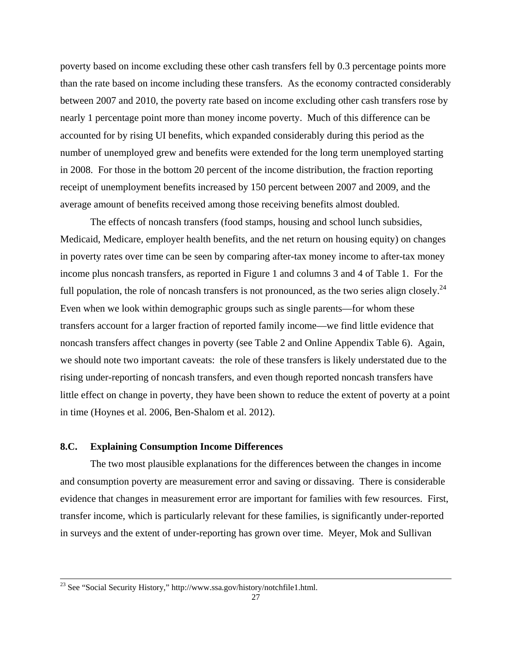poverty based on income excluding these other cash transfers fell by 0.3 percentage points more than the rate based on income including these transfers. As the economy contracted considerably between 2007 and 2010, the poverty rate based on income excluding other cash transfers rose by nearly 1 percentage point more than money income poverty. Much of this difference can be accounted for by rising UI benefits, which expanded considerably during this period as the number of unemployed grew and benefits were extended for the long term unemployed starting in 2008. For those in the bottom 20 percent of the income distribution, the fraction reporting receipt of unemployment benefits increased by 150 percent between 2007 and 2009, and the average amount of benefits received among those receiving benefits almost doubled.

 The effects of noncash transfers (food stamps, housing and school lunch subsidies, Medicaid, Medicare, employer health benefits, and the net return on housing equity) on changes in poverty rates over time can be seen by comparing after-tax money income to after-tax money income plus noncash transfers, as reported in Figure 1 and columns 3 and 4 of Table 1. For the full population, the role of noncash transfers is not pronounced, as the two series align closely.<sup>24</sup> Even when we look within demographic groups such as single parents—for whom these transfers account for a larger fraction of reported family income—we find little evidence that noncash transfers affect changes in poverty (see Table 2 and Online Appendix Table 6). Again, we should note two important caveats: the role of these transfers is likely understated due to the rising under-reporting of noncash transfers, and even though reported noncash transfers have little effect on change in poverty, they have been shown to reduce the extent of poverty at a point in time (Hoynes et al. 2006, Ben-Shalom et al. 2012).

# **8.C. Explaining Consumption Income Differences**

 The two most plausible explanations for the differences between the changes in income and consumption poverty are measurement error and saving or dissaving. There is considerable evidence that changes in measurement error are important for families with few resources. First, transfer income, which is particularly relevant for these families, is significantly under-reported in surveys and the extent of under-reporting has grown over time. Meyer, Mok and Sullivan

<sup>&</sup>lt;sup>23</sup> See "Social Security History," http://www.ssa.gov/history/notchfile1.html.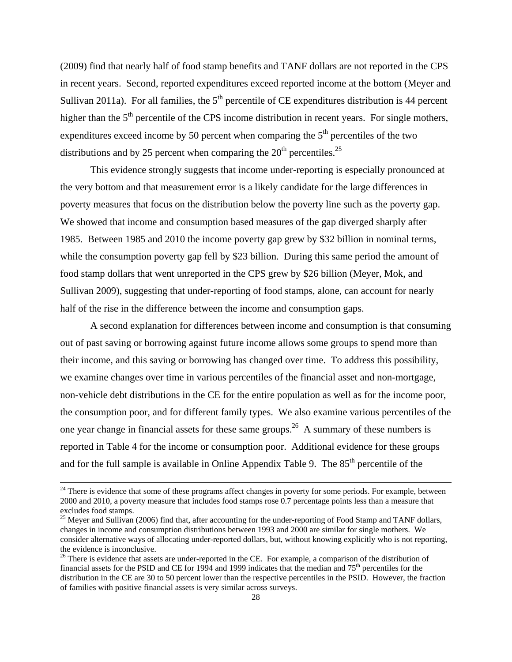(2009) find that nearly half of food stamp benefits and TANF dollars are not reported in the CPS in recent years. Second, reported expenditures exceed reported income at the bottom (Meyer and Sullivan 2011a). For all families, the  $5<sup>th</sup>$  percentile of CE expenditures distribution is 44 percent higher than the  $5<sup>th</sup>$  percentile of the CPS income distribution in recent years. For single mothers, expenditures exceed income by 50 percent when comparing the  $5<sup>th</sup>$  percentiles of the two distributions and by 25 percent when comparing the  $20<sup>th</sup>$  percentiles.<sup>25</sup>

 This evidence strongly suggests that income under-reporting is especially pronounced at the very bottom and that measurement error is a likely candidate for the large differences in poverty measures that focus on the distribution below the poverty line such as the poverty gap. We showed that income and consumption based measures of the gap diverged sharply after 1985. Between 1985 and 2010 the income poverty gap grew by \$32 billion in nominal terms, while the consumption poverty gap fell by \$23 billion. During this same period the amount of food stamp dollars that went unreported in the CPS grew by \$26 billion (Meyer, Mok, and Sullivan 2009), suggesting that under-reporting of food stamps, alone, can account for nearly half of the rise in the difference between the income and consumption gaps.

 A second explanation for differences between income and consumption is that consuming out of past saving or borrowing against future income allows some groups to spend more than their income, and this saving or borrowing has changed over time. To address this possibility, we examine changes over time in various percentiles of the financial asset and non-mortgage, non-vehicle debt distributions in the CE for the entire population as well as for the income poor, the consumption poor, and for different family types. We also examine various percentiles of the one year change in financial assets for these same groups.<sup>26</sup> A summary of these numbers is reported in Table 4 for the income or consumption poor. Additional evidence for these groups and for the full sample is available in Online Appendix Table 9. The  $85<sup>th</sup>$  percentile of the

 $24$  There is evidence that some of these programs affect changes in poverty for some periods. For example, between 2000 and 2010, a poverty measure that includes food stamps rose 0.7 percentage points less than a measure that excludes food stamps.

<sup>&</sup>lt;sup>25</sup> Meyer and Sullivan (2006) find that, after accounting for the under-reporting of Food Stamp and TANF dollars, changes in income and consumption distributions between 1993 and 2000 are similar for single mothers. We consider alternative ways of allocating under-reported dollars, but, without knowing explicitly who is not reporting, the evidence is inconclusive.

<sup>&</sup>lt;sup>26</sup> There is evidence that assets are under-reported in the CE. For example, a comparison of the distribution of financial assets for the PSID and CE for 1994 and 1999 indicates that the median and 75<sup>th</sup> percentiles for the distribution in the CE are 30 to 50 percent lower than the respective percentiles in the PSID. However, the fraction of families with positive financial assets is very similar across surveys.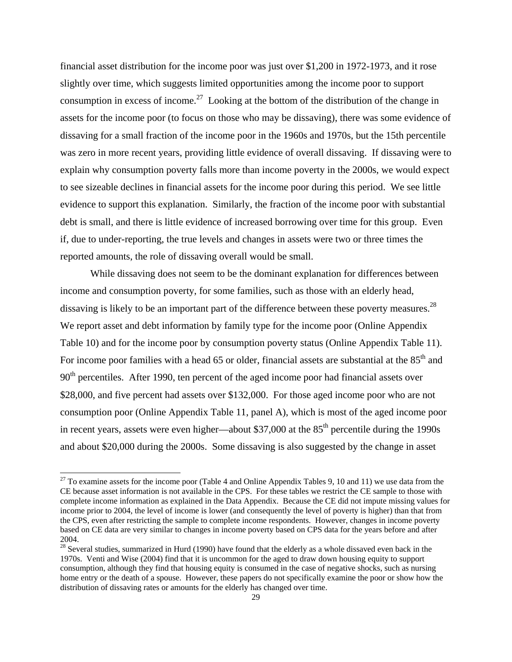financial asset distribution for the income poor was just over \$1,200 in 1972-1973, and it rose slightly over time, which suggests limited opportunities among the income poor to support consumption in excess of income.<sup>27</sup> Looking at the bottom of the distribution of the change in assets for the income poor (to focus on those who may be dissaving), there was some evidence of dissaving for a small fraction of the income poor in the 1960s and 1970s, but the 15th percentile was zero in more recent years, providing little evidence of overall dissaving. If dissaving were to explain why consumption poverty falls more than income poverty in the 2000s, we would expect to see sizeable declines in financial assets for the income poor during this period. We see little evidence to support this explanation. Similarly, the fraction of the income poor with substantial debt is small, and there is little evidence of increased borrowing over time for this group. Even if, due to under-reporting, the true levels and changes in assets were two or three times the reported amounts, the role of dissaving overall would be small.

 While dissaving does not seem to be the dominant explanation for differences between income and consumption poverty, for some families, such as those with an elderly head, dissaving is likely to be an important part of the difference between these poverty measures.<sup>28</sup> We report asset and debt information by family type for the income poor (Online Appendix Table 10) and for the income poor by consumption poverty status (Online Appendix Table 11). For income poor families with a head 65 or older, financial assets are substantial at the  $85<sup>th</sup>$  and 90<sup>th</sup> percentiles. After 1990, ten percent of the aged income poor had financial assets over \$28,000, and five percent had assets over \$132,000. For those aged income poor who are not consumption poor (Online Appendix Table 11, panel A), which is most of the aged income poor in recent years, assets were even higher—about  $$37,000$  at the  $85<sup>th</sup>$  percentile during the 1990s and about \$20,000 during the 2000s. Some dissaving is also suggested by the change in asset

 $27$  To examine assets for the income poor (Table 4 and Online Appendix Tables 9, 10 and 11) we use data from the CE because asset information is not available in the CPS. For these tables we restrict the CE sample to those with complete income information as explained in the Data Appendix. Because the CE did not impute missing values for income prior to 2004, the level of income is lower (and consequently the level of poverty is higher) than that from the CPS, even after restricting the sample to complete income respondents. However, changes in income poverty based on CE data are very similar to changes in income poverty based on CPS data for the years before and after 2004.

<sup>&</sup>lt;sup>28</sup> Several studies, summarized in Hurd (1990) have found that the elderly as a whole dissaved even back in the 1970s. Venti and Wise (2004) find that it is uncommon for the aged to draw down housing equity to support consumption, although they find that housing equity is consumed in the case of negative shocks, such as nursing home entry or the death of a spouse. However, these papers do not specifically examine the poor or show how the distribution of dissaving rates or amounts for the elderly has changed over time.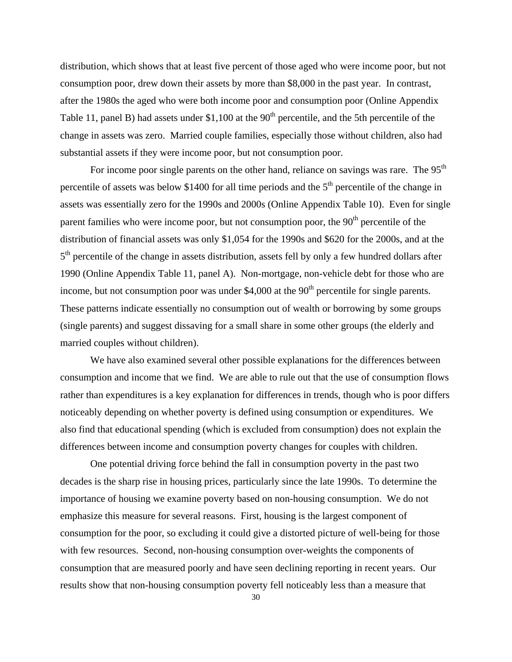distribution, which shows that at least five percent of those aged who were income poor, but not consumption poor, drew down their assets by more than \$8,000 in the past year. In contrast, after the 1980s the aged who were both income poor and consumption poor (Online Appendix Table 11, panel B) had assets under \$1,100 at the  $90<sup>th</sup>$  percentile, and the 5th percentile of the change in assets was zero. Married couple families, especially those without children, also had substantial assets if they were income poor, but not consumption poor.

For income poor single parents on the other hand, reliance on savings was rare. The  $95<sup>th</sup>$ percentile of assets was below \$1400 for all time periods and the  $5<sup>th</sup>$  percentile of the change in assets was essentially zero for the 1990s and 2000s (Online Appendix Table 10). Even for single parent families who were income poor, but not consumption poor, the  $90<sup>th</sup>$  percentile of the distribution of financial assets was only \$1,054 for the 1990s and \$620 for the 2000s, and at the  $5<sup>th</sup>$  percentile of the change in assets distribution, assets fell by only a few hundred dollars after 1990 (Online Appendix Table 11, panel A). Non-mortgage, non-vehicle debt for those who are income, but not consumption poor was under  $$4,000$  at the  $90<sup>th</sup>$  percentile for single parents. These patterns indicate essentially no consumption out of wealth or borrowing by some groups (single parents) and suggest dissaving for a small share in some other groups (the elderly and married couples without children).

 We have also examined several other possible explanations for the differences between consumption and income that we find. We are able to rule out that the use of consumption flows rather than expenditures is a key explanation for differences in trends, though who is poor differs noticeably depending on whether poverty is defined using consumption or expenditures. We also find that educational spending (which is excluded from consumption) does not explain the differences between income and consumption poverty changes for couples with children.

One potential driving force behind the fall in consumption poverty in the past two decades is the sharp rise in housing prices, particularly since the late 1990s. To determine the importance of housing we examine poverty based on non-housing consumption. We do not emphasize this measure for several reasons. First, housing is the largest component of consumption for the poor, so excluding it could give a distorted picture of well-being for those with few resources. Second, non-housing consumption over-weights the components of consumption that are measured poorly and have seen declining reporting in recent years. Our results show that non-housing consumption poverty fell noticeably less than a measure that

30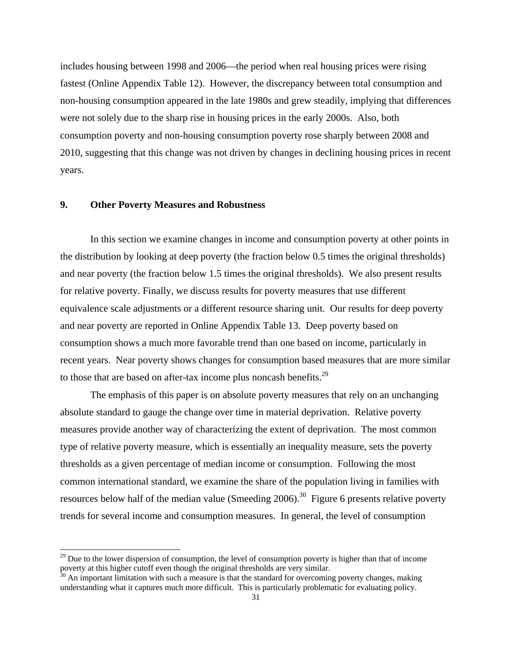includes housing between 1998 and 2006—the period when real housing prices were rising fastest (Online Appendix Table 12). However, the discrepancy between total consumption and non-housing consumption appeared in the late 1980s and grew steadily, implying that differences were not solely due to the sharp rise in housing prices in the early 2000s. Also, both consumption poverty and non-housing consumption poverty rose sharply between 2008 and 2010, suggesting that this change was not driven by changes in declining housing prices in recent years.

## **9. Other Poverty Measures and Robustness**

 $\overline{a}$ 

 In this section we examine changes in income and consumption poverty at other points in the distribution by looking at deep poverty (the fraction below 0.5 times the original thresholds) and near poverty (the fraction below 1.5 times the original thresholds). We also present results for relative poverty. Finally, we discuss results for poverty measures that use different equivalence scale adjustments or a different resource sharing unit. Our results for deep poverty and near poverty are reported in Online Appendix Table 13. Deep poverty based on consumption shows a much more favorable trend than one based on income, particularly in recent years. Near poverty shows changes for consumption based measures that are more similar to those that are based on after-tax income plus noncash benefits.<sup>29</sup>

 The emphasis of this paper is on absolute poverty measures that rely on an unchanging absolute standard to gauge the change over time in material deprivation. Relative poverty measures provide another way of characterizing the extent of deprivation. The most common type of relative poverty measure, which is essentially an inequality measure, sets the poverty thresholds as a given percentage of median income or consumption. Following the most common international standard, we examine the share of the population living in families with resources below half of the median value (Smeeding 2006).<sup>30</sup> Figure 6 presents relative poverty trends for several income and consumption measures. In general, the level of consumption

 $29$  Due to the lower dispersion of consumption, the level of consumption poverty is higher than that of income poverty at this higher cutoff even though the original thresholds are very similar.

 $30$  An important limitation with such a measure is that the standard for overcoming poverty changes, making understanding what it captures much more difficult. This is particularly problematic for evaluating policy.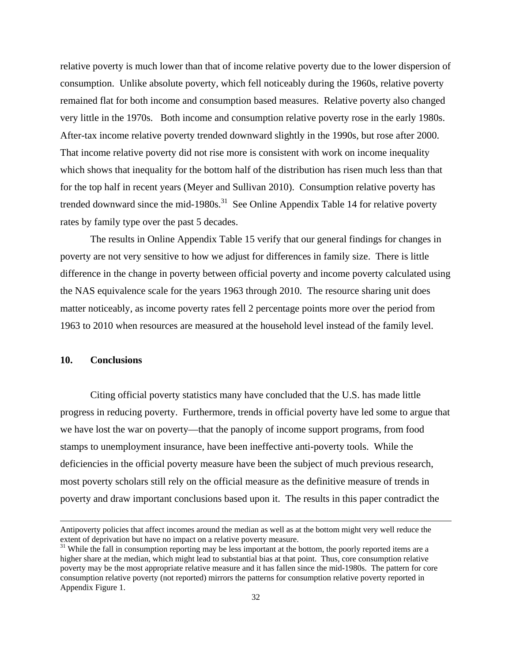relative poverty is much lower than that of income relative poverty due to the lower dispersion of consumption. Unlike absolute poverty, which fell noticeably during the 1960s, relative poverty remained flat for both income and consumption based measures. Relative poverty also changed very little in the 1970s. Both income and consumption relative poverty rose in the early 1980s. After-tax income relative poverty trended downward slightly in the 1990s, but rose after 2000. That income relative poverty did not rise more is consistent with work on income inequality which shows that inequality for the bottom half of the distribution has risen much less than that for the top half in recent years (Meyer and Sullivan 2010). Consumption relative poverty has trended downward since the mid-1980s.<sup>31</sup> See Online Appendix Table 14 for relative poverty rates by family type over the past 5 decades.

 The results in Online Appendix Table 15 verify that our general findings for changes in poverty are not very sensitive to how we adjust for differences in family size. There is little difference in the change in poverty between official poverty and income poverty calculated using the NAS equivalence scale for the years 1963 through 2010. The resource sharing unit does matter noticeably, as income poverty rates fell 2 percentage points more over the period from 1963 to 2010 when resources are measured at the household level instead of the family level.

### **10. Conclusions**

 $\overline{a}$ 

Citing official poverty statistics many have concluded that the U.S. has made little progress in reducing poverty. Furthermore, trends in official poverty have led some to argue that we have lost the war on poverty—that the panoply of income support programs, from food stamps to unemployment insurance, have been ineffective anti-poverty tools. While the deficiencies in the official poverty measure have been the subject of much previous research, most poverty scholars still rely on the official measure as the definitive measure of trends in poverty and draw important conclusions based upon it. The results in this paper contradict the

Antipoverty policies that affect incomes around the median as well as at the bottom might very well reduce the extent of deprivation but have no impact on a relative poverty measure.

<sup>&</sup>lt;sup>31</sup> While the fall in consumption reporting may be less important at the bottom, the poorly reported items are a higher share at the median, which might lead to substantial bias at that point. Thus, core consumption relative poverty may be the most appropriate relative measure and it has fallen since the mid-1980s. The pattern for core consumption relative poverty (not reported) mirrors the patterns for consumption relative poverty reported in Appendix Figure 1.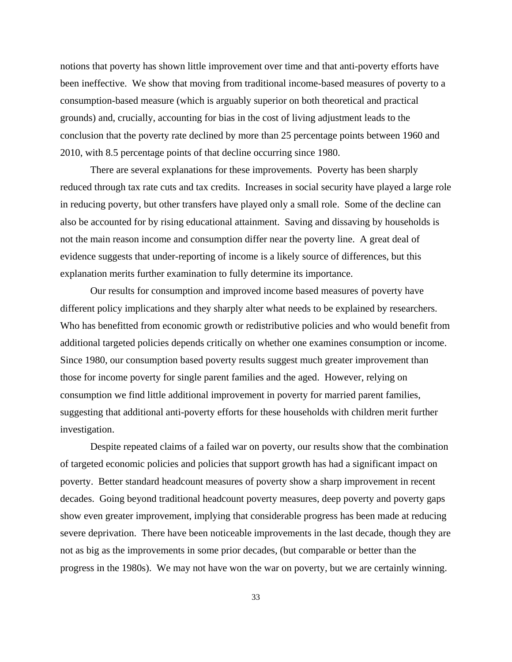notions that poverty has shown little improvement over time and that anti-poverty efforts have been ineffective. We show that moving from traditional income-based measures of poverty to a consumption-based measure (which is arguably superior on both theoretical and practical grounds) and, crucially, accounting for bias in the cost of living adjustment leads to the conclusion that the poverty rate declined by more than 25 percentage points between 1960 and 2010, with 8.5 percentage points of that decline occurring since 1980.

There are several explanations for these improvements. Poverty has been sharply reduced through tax rate cuts and tax credits. Increases in social security have played a large role in reducing poverty, but other transfers have played only a small role. Some of the decline can also be accounted for by rising educational attainment. Saving and dissaving by households is not the main reason income and consumption differ near the poverty line. A great deal of evidence suggests that under-reporting of income is a likely source of differences, but this explanation merits further examination to fully determine its importance.

Our results for consumption and improved income based measures of poverty have different policy implications and they sharply alter what needs to be explained by researchers. Who has benefitted from economic growth or redistributive policies and who would benefit from additional targeted policies depends critically on whether one examines consumption or income. Since 1980, our consumption based poverty results suggest much greater improvement than those for income poverty for single parent families and the aged. However, relying on consumption we find little additional improvement in poverty for married parent families, suggesting that additional anti-poverty efforts for these households with children merit further investigation.

Despite repeated claims of a failed war on poverty, our results show that the combination of targeted economic policies and policies that support growth has had a significant impact on poverty. Better standard headcount measures of poverty show a sharp improvement in recent decades. Going beyond traditional headcount poverty measures, deep poverty and poverty gaps show even greater improvement, implying that considerable progress has been made at reducing severe deprivation. There have been noticeable improvements in the last decade, though they are not as big as the improvements in some prior decades, (but comparable or better than the progress in the 1980s). We may not have won the war on poverty, but we are certainly winning.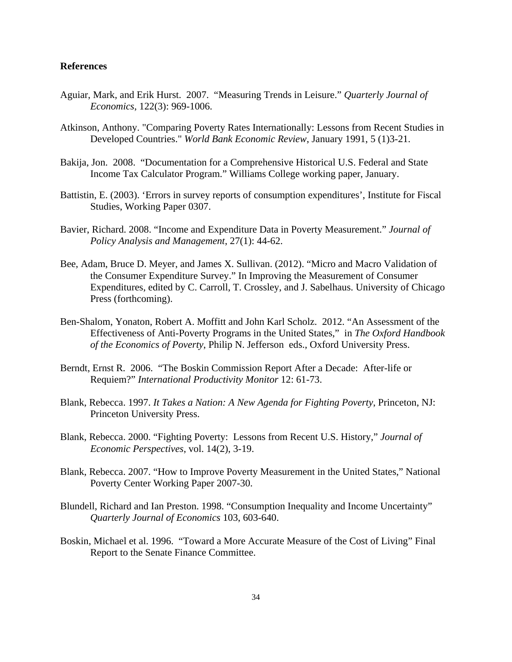## **References**

- Aguiar, Mark, and Erik Hurst. 2007. "Measuring Trends in Leisure." *Quarterly Journal of Economics*, 122(3): 969-1006.
- Atkinson, Anthony. "Comparing Poverty Rates Internationally: Lessons from Recent Studies in Developed Countries." *World Bank Economic Review*, January 1991, 5 (1)3-21.
- Bakija, Jon. 2008. "Documentation for a Comprehensive Historical U.S. Federal and State Income Tax Calculator Program." Williams College working paper, January.
- Battistin, E. (2003). 'Errors in survey reports of consumption expenditures', Institute for Fiscal Studies, Working Paper 0307.
- Bavier, Richard. 2008. "Income and Expenditure Data in Poverty Measurement." *Journal of Policy Analysis and Management*, 27(1): 44-62.
- Bee, Adam, Bruce D. Meyer, and James X. Sullivan. (2012). "Micro and Macro Validation of the Consumer Expenditure Survey." In Improving the Measurement of Consumer Expenditures, edited by C. Carroll, T. Crossley, and J. Sabelhaus. University of Chicago Press (forthcoming).
- Ben-Shalom, Yonaton, Robert A. Moffitt and John Karl Scholz. 2012. "An Assessment of the Effectiveness of Anti-Poverty Programs in the United States," in *The Oxford Handbook of the Economics of Poverty*, Philip N. Jefferson eds., Oxford University Press.
- Berndt, Ernst R. 2006. "The Boskin Commission Report After a Decade: After-life or Requiem?" *International Productivity Monitor* 12: 61-73.
- Blank, Rebecca. 1997. *It Takes a Nation: A New Agenda for Fighting Poverty*, Princeton, NJ: Princeton University Press.
- Blank, Rebecca. 2000. "Fighting Poverty: Lessons from Recent U.S. History," *Journal of Economic Perspectives*, vol. 14(2), 3-19.
- Blank, Rebecca. 2007. "How to Improve Poverty Measurement in the United States," National Poverty Center Working Paper 2007-30.
- Blundell, Richard and Ian Preston. 1998. "Consumption Inequality and Income Uncertainty" *Quarterly Journal of Economics* 103, 603-640.
- Boskin, Michael et al. 1996. "Toward a More Accurate Measure of the Cost of Living" Final Report to the Senate Finance Committee.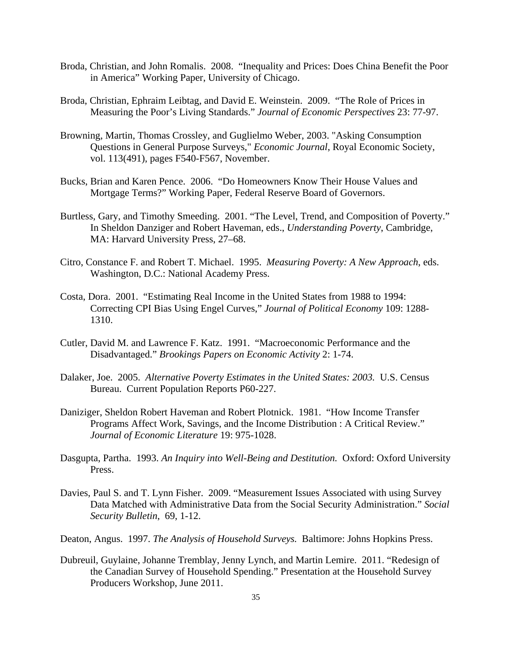- Broda, Christian, and John Romalis. 2008. "Inequality and Prices: Does China Benefit the Poor in America" Working Paper, University of Chicago.
- Broda, Christian, Ephraim Leibtag, and David E. Weinstein. 2009. "The Role of Prices in Measuring the Poor's Living Standards." *Journal of Economic Perspectives* 23: 77-97.
- Browning, Martin, Thomas Crossley, and Guglielmo Weber, 2003. "Asking Consumption Questions in General Purpose Surveys," *Economic Journal*, Royal Economic Society, vol. 113(491), pages F540-F567, November.
- Bucks, Brian and Karen Pence. 2006. "Do Homeowners Know Their House Values and Mortgage Terms?" Working Paper, Federal Reserve Board of Governors.
- Burtless, Gary, and Timothy Smeeding. 2001. "The Level, Trend, and Composition of Poverty." In Sheldon Danziger and Robert Haveman, eds., *Understanding Poverty*, Cambridge, MA: Harvard University Press, 27–68.
- Citro, Constance F. and Robert T. Michael. 1995. *Measuring Poverty: A New Approach*, eds. Washington, D.C.: National Academy Press.
- Costa, Dora. 2001. "Estimating Real Income in the United States from 1988 to 1994: Correcting CPI Bias Using Engel Curves," *Journal of Political Economy* 109: 1288- 1310.
- Cutler, David M. and Lawrence F. Katz. 1991. "Macroeconomic Performance and the Disadvantaged." *Brookings Papers on Economic Activity* 2: 1-74.
- Dalaker, Joe. 2005. *Alternative Poverty Estimates in the United States: 2003.* U.S. Census Bureau. Current Population Reports P60-227.
- Daniziger, Sheldon Robert Haveman and Robert Plotnick. 1981. "How Income Transfer Programs Affect Work, Savings, and the Income Distribution : A Critical Review." *Journal of Economic Literature* 19: 975-1028.
- Dasgupta, Partha. 1993. *An Inquiry into Well-Being and Destitution.* Oxford: Oxford University Press.
- Davies, Paul S. and T. Lynn Fisher. 2009. "Measurement Issues Associated with using Survey Data Matched with Administrative Data from the Social Security Administration." *Social Security Bulletin*, 69, 1-12.
- Deaton, Angus. 1997. *The Analysis of Household Surveys.* Baltimore: Johns Hopkins Press.
- Dubreuil, Guylaine, Johanne Tremblay, Jenny Lynch, and Martin Lemire. 2011. "Redesign of the Canadian Survey of Household Spending." Presentation at the Household Survey Producers Workshop, June 2011.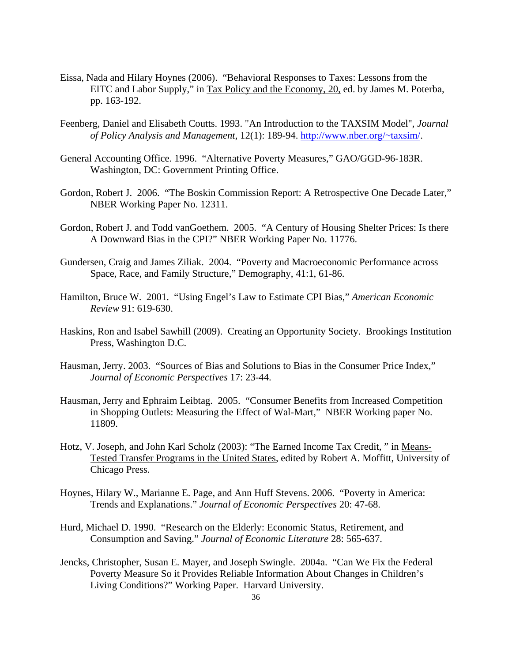- Eissa, Nada and Hilary Hoynes (2006). "Behavioral Responses to Taxes: Lessons from the EITC and Labor Supply," in Tax Policy and the Economy, 20, ed. by James M. Poterba, pp. 163-192.
- Feenberg, Daniel and Elisabeth Coutts. 1993. "An Introduction to the TAXSIM Model", *Journal of Policy Analysis and Management*, 12(1): 189-94. http://www.nber.org/~taxsim/.
- General Accounting Office. 1996. "Alternative Poverty Measures," GAO/GGD-96-183R. Washington, DC: Government Printing Office.
- Gordon, Robert J. 2006. "The Boskin Commission Report: A Retrospective One Decade Later," NBER Working Paper No. 12311.
- Gordon, Robert J. and Todd vanGoethem. 2005. "A Century of Housing Shelter Prices: Is there A Downward Bias in the CPI?" NBER Working Paper No. 11776.
- Gundersen, Craig and James Ziliak. 2004. "Poverty and Macroeconomic Performance across Space, Race, and Family Structure," Demography, 41:1, 61-86.
- Hamilton, Bruce W. 2001. "Using Engel's Law to Estimate CPI Bias," *American Economic Review* 91: 619-630.
- Haskins, Ron and Isabel Sawhill (2009). Creating an Opportunity Society. Brookings Institution Press, Washington D.C.
- Hausman, Jerry. 2003. "Sources of Bias and Solutions to Bias in the Consumer Price Index," *Journal of Economic Perspectives* 17: 23-44.
- Hausman, Jerry and Ephraim Leibtag. 2005. "Consumer Benefits from Increased Competition in Shopping Outlets: Measuring the Effect of Wal-Mart," NBER Working paper No. 11809.
- Hotz, V. Joseph, and John Karl Scholz (2003): "The Earned Income Tax Credit, " in Means-Tested Transfer Programs in the United States, edited by Robert A. Moffitt, University of Chicago Press.
- Hoynes, Hilary W., Marianne E. Page, and Ann Huff Stevens. 2006. "Poverty in America: Trends and Explanations." *Journal of Economic Perspectives* 20: 47-68.
- Hurd, Michael D. 1990. "Research on the Elderly: Economic Status, Retirement, and Consumption and Saving." *Journal of Economic Literature* 28: 565-637.
- Jencks, Christopher, Susan E. Mayer, and Joseph Swingle. 2004a. "Can We Fix the Federal Poverty Measure So it Provides Reliable Information About Changes in Children's Living Conditions?" Working Paper. Harvard University.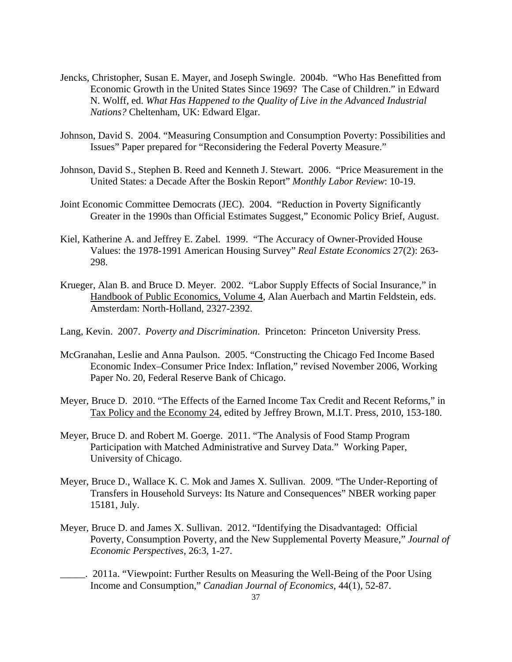- Jencks, Christopher, Susan E. Mayer, and Joseph Swingle. 2004b. "Who Has Benefitted from Economic Growth in the United States Since 1969? The Case of Children." in Edward N. Wolff, ed. *What Has Happened to the Quality of Live in the Advanced Industrial Nations?* Cheltenham, UK: Edward Elgar.
- Johnson, David S. 2004. "Measuring Consumption and Consumption Poverty: Possibilities and Issues" Paper prepared for "Reconsidering the Federal Poverty Measure."
- Johnson, David S., Stephen B. Reed and Kenneth J. Stewart. 2006. "Price Measurement in the United States: a Decade After the Boskin Report" *Monthly Labor Review*: 10-19.
- Joint Economic Committee Democrats (JEC). 2004. "Reduction in Poverty Significantly Greater in the 1990s than Official Estimates Suggest," Economic Policy Brief, August.
- Kiel, Katherine A. and Jeffrey E. Zabel. 1999. "The Accuracy of Owner-Provided House Values: the 1978-1991 American Housing Survey" *Real Estate Economics* 27(2): 263- 298.
- Krueger, Alan B. and Bruce D. Meyer. 2002. "Labor Supply Effects of Social Insurance," in Handbook of Public Economics, Volume 4, Alan Auerbach and Martin Feldstein, eds. Amsterdam: North-Holland, 2327-2392.
- Lang, Kevin. 2007. *Poverty and Discrimination*. Princeton: Princeton University Press.
- McGranahan, Leslie and Anna Paulson. 2005. "Constructing the Chicago Fed Income Based Economic Index–Consumer Price Index: Inflation," revised November 2006, Working Paper No. 20, Federal Reserve Bank of Chicago.
- Meyer, Bruce D. 2010. "The Effects of the Earned Income Tax Credit and Recent Reforms," in Tax Policy and the Economy 24, edited by Jeffrey Brown, M.I.T. Press, 2010, 153-180.
- Meyer, Bruce D. and Robert M. Goerge. 2011. "The Analysis of Food Stamp Program Participation with Matched Administrative and Survey Data." Working Paper, University of Chicago.
- Meyer, Bruce D., Wallace K. C. Mok and James X. Sullivan. 2009. "The Under-Reporting of Transfers in Household Surveys: Its Nature and Consequences" NBER working paper 15181, July.
- Meyer, Bruce D. and James X. Sullivan. 2012. "Identifying the Disadvantaged: Official Poverty, Consumption Poverty, and the New Supplemental Poverty Measure," *Journal of Economic Perspectives*, 26:3, 1-27.
- \_\_\_\_\_. 2011a. "Viewpoint: Further Results on Measuring the Well-Being of the Poor Using Income and Consumption," *Canadian Journal of Economics*, 44(1), 52-87.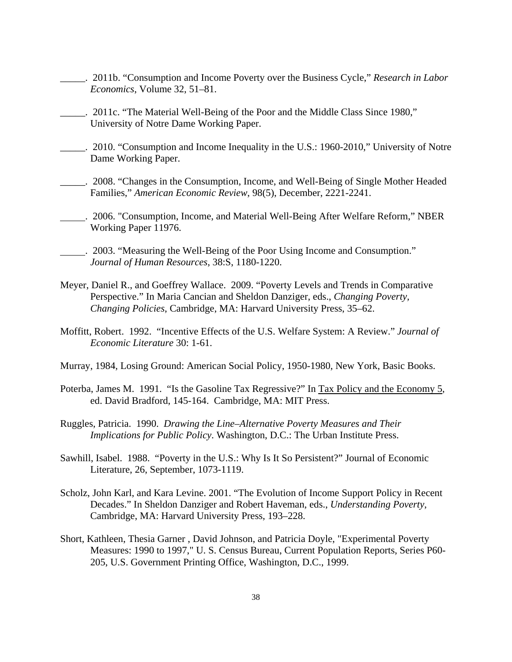- \_\_\_\_\_. 2011b. "Consumption and Income Poverty over the Business Cycle," *Research in Labor Economics*, Volume 32, 51–81.
- \_\_\_\_\_. 2011c. "The Material Well-Being of the Poor and the Middle Class Since 1980," University of Notre Dame Working Paper.
- \_\_\_\_\_. 2010. "Consumption and Income Inequality in the U.S.: 1960-2010," University of Notre Dame Working Paper.
- \_\_\_\_\_. 2008. "Changes in the Consumption, Income, and Well-Being of Single Mother Headed Families," *American Economic Review*, 98(5), December, 2221-2241.
- . 2006. "Consumption, Income, and Material Well-Being After Welfare Reform," NBER Working Paper 11976.
- . 2003. "Measuring the Well-Being of the Poor Using Income and Consumption." *Journal of Human Resources*, 38:S, 1180-1220.
- Meyer, Daniel R., and Goeffrey Wallace. 2009. "Poverty Levels and Trends in Comparative Perspective." In Maria Cancian and Sheldon Danziger, eds., *Changing Poverty, Changing Policies*, Cambridge, MA: Harvard University Press, 35–62.
- Moffitt, Robert. 1992. "Incentive Effects of the U.S. Welfare System: A Review." *Journal of Economic Literature* 30: 1-61.
- Murray, 1984, Losing Ground: American Social Policy, 1950-1980, New York, Basic Books.
- Poterba, James M. 1991. "Is the Gasoline Tax Regressive?" In Tax Policy and the Economy 5, ed. David Bradford, 145-164. Cambridge, MA: MIT Press.
- Ruggles, Patricia. 1990. *Drawing the Line–Alternative Poverty Measures and Their Implications for Public Policy*. Washington, D.C.: The Urban Institute Press.
- Sawhill, Isabel. 1988. "Poverty in the U.S.: Why Is It So Persistent?" Journal of Economic Literature, 26, September, 1073-1119.
- Scholz, John Karl, and Kara Levine. 2001. "The Evolution of Income Support Policy in Recent Decades." In Sheldon Danziger and Robert Haveman, eds., *Understanding Poverty*, Cambridge, MA: Harvard University Press, 193–228.
- Short, Kathleen, Thesia Garner , David Johnson, and Patricia Doyle, "Experimental Poverty Measures: 1990 to 1997," U. S. Census Bureau, Current Population Reports, Series P60- 205, U.S. Government Printing Office, Washington, D.C., 1999.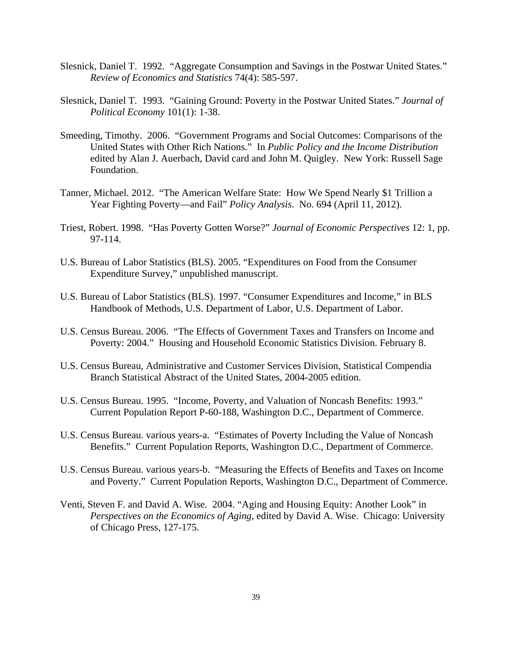- Slesnick, Daniel T. 1992. "Aggregate Consumption and Savings in the Postwar United States." *Review of Economics and Statistics* 74(4): 585-597.
- Slesnick, Daniel T. 1993. "Gaining Ground: Poverty in the Postwar United States." *Journal of Political Economy* 101(1): 1-38.
- Smeeding, Timothy. 2006. "Government Programs and Social Outcomes: Comparisons of the United States with Other Rich Nations." In *Public Policy and the Income Distribution* edited by Alan J. Auerbach, David card and John M. Quigley. New York: Russell Sage Foundation.
- Tanner, Michael. 2012. "The American Welfare State: How We Spend Nearly \$1 Trillion a Year Fighting Poverty—and Fail" *Policy Analysis*. No. 694 (April 11, 2012).
- Triest, Robert. 1998. "Has Poverty Gotten Worse?" *Journal of Economic Perspectives* 12: 1, pp. 97-114.
- U.S. Bureau of Labor Statistics (BLS). 2005. "Expenditures on Food from the Consumer Expenditure Survey," unpublished manuscript.
- U.S. Bureau of Labor Statistics (BLS). 1997. "Consumer Expenditures and Income," in BLS Handbook of Methods, U.S. Department of Labor, U.S. Department of Labor.
- U.S. Census Bureau. 2006. "The Effects of Government Taxes and Transfers on Income and Poverty: 2004." Housing and Household Economic Statistics Division. February 8.
- U.S. Census Bureau, Administrative and Customer Services Division, Statistical Compendia Branch Statistical Abstract of the United States, 2004-2005 edition.
- U.S. Census Bureau. 1995. "Income, Poverty, and Valuation of Noncash Benefits: 1993." Current Population Report P-60-188, Washington D.C., Department of Commerce.
- U.S. Census Bureau. various years-a. "Estimates of Poverty Including the Value of Noncash Benefits." Current Population Reports, Washington D.C., Department of Commerce.
- U.S. Census Bureau. various years-b. "Measuring the Effects of Benefits and Taxes on Income and Poverty." Current Population Reports, Washington D.C., Department of Commerce.
- Venti, Steven F. and David A. Wise. 2004. "Aging and Housing Equity: Another Look" in *Perspectives on the Economics of Aging*, edited by David A. Wise. Chicago: University of Chicago Press, 127-175.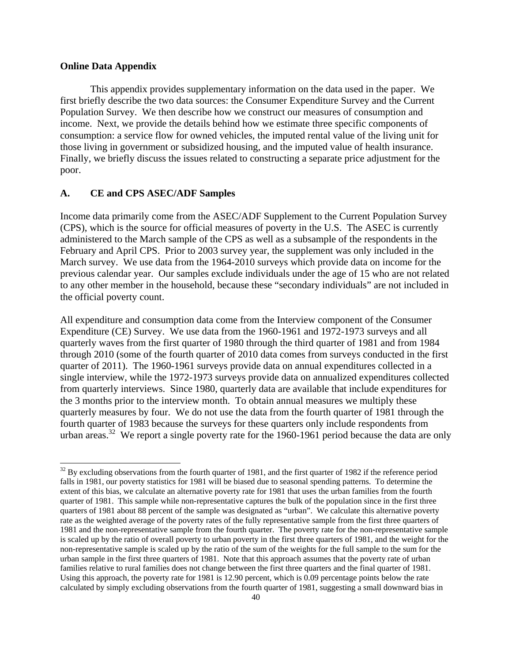### **Online Data Appendix**

 $\overline{a}$ 

 This appendix provides supplementary information on the data used in the paper. We first briefly describe the two data sources: the Consumer Expenditure Survey and the Current Population Survey. We then describe how we construct our measures of consumption and income. Next, we provide the details behind how we estimate three specific components of consumption: a service flow for owned vehicles, the imputed rental value of the living unit for those living in government or subsidized housing, and the imputed value of health insurance. Finally, we briefly discuss the issues related to constructing a separate price adjustment for the poor.

## **A. CE and CPS ASEC/ADF Samples**

Income data primarily come from the ASEC/ADF Supplement to the Current Population Survey (CPS), which is the source for official measures of poverty in the U.S. The ASEC is currently administered to the March sample of the CPS as well as a subsample of the respondents in the February and April CPS. Prior to 2003 survey year, the supplement was only included in the March survey. We use data from the 1964-2010 surveys which provide data on income for the previous calendar year. Our samples exclude individuals under the age of 15 who are not related to any other member in the household, because these "secondary individuals" are not included in the official poverty count.

All expenditure and consumption data come from the Interview component of the Consumer Expenditure (CE) Survey. We use data from the 1960-1961 and 1972-1973 surveys and all quarterly waves from the first quarter of 1980 through the third quarter of 1981 and from 1984 through 2010 (some of the fourth quarter of 2010 data comes from surveys conducted in the first quarter of 2011). The 1960-1961 surveys provide data on annual expenditures collected in a single interview, while the 1972-1973 surveys provide data on annualized expenditures collected from quarterly interviews. Since 1980, quarterly data are available that include expenditures for the 3 months prior to the interview month. To obtain annual measures we multiply these quarterly measures by four. We do not use the data from the fourth quarter of 1981 through the fourth quarter of 1983 because the surveys for these quarters only include respondents from urban areas.<sup>32</sup> We report a single poverty rate for the 1960-1961 period because the data are only

 $32$  By excluding observations from the fourth quarter of 1981, and the first quarter of 1982 if the reference period falls in 1981, our poverty statistics for 1981 will be biased due to seasonal spending patterns. To determine the extent of this bias, we calculate an alternative poverty rate for 1981 that uses the urban families from the fourth quarter of 1981. This sample while non-representative captures the bulk of the population since in the first three quarters of 1981 about 88 percent of the sample was designated as "urban". We calculate this alternative poverty rate as the weighted average of the poverty rates of the fully representative sample from the first three quarters of 1981 and the non-representative sample from the fourth quarter. The poverty rate for the non-representative sample is scaled up by the ratio of overall poverty to urban poverty in the first three quarters of 1981, and the weight for the non-representative sample is scaled up by the ratio of the sum of the weights for the full sample to the sum for the urban sample in the first three quarters of 1981. Note that this approach assumes that the poverty rate of urban families relative to rural families does not change between the first three quarters and the final quarter of 1981. Using this approach, the poverty rate for 1981 is 12.90 percent, which is 0.09 percentage points below the rate calculated by simply excluding observations from the fourth quarter of 1981, suggesting a small downward bias in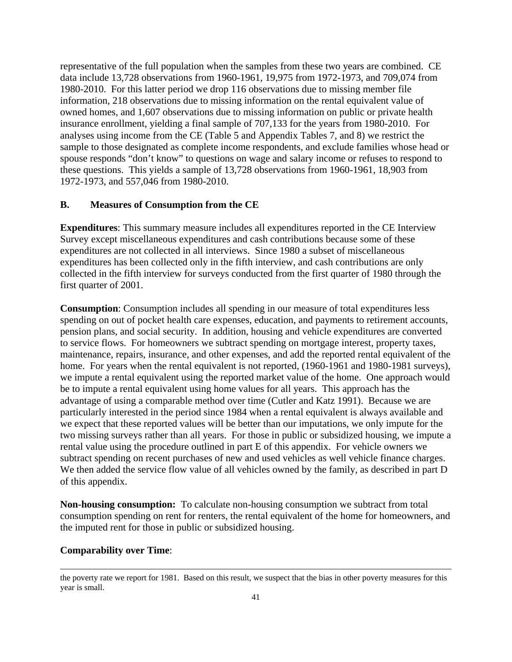representative of the full population when the samples from these two years are combined. CE data include 13,728 observations from 1960-1961, 19,975 from 1972-1973, and 709,074 from 1980-2010. For this latter period we drop 116 observations due to missing member file information, 218 observations due to missing information on the rental equivalent value of owned homes, and 1,607 observations due to missing information on public or private health insurance enrollment, yielding a final sample of 707,133 for the years from 1980-2010. For analyses using income from the CE (Table 5 and Appendix Tables 7, and 8) we restrict the sample to those designated as complete income respondents, and exclude families whose head or spouse responds "don't know" to questions on wage and salary income or refuses to respond to these questions. This yields a sample of 13,728 observations from 1960-1961, 18,903 from 1972-1973, and 557,046 from 1980-2010.

### **B. Measures of Consumption from the CE**

**Expenditures**: This summary measure includes all expenditures reported in the CE Interview Survey except miscellaneous expenditures and cash contributions because some of these expenditures are not collected in all interviews. Since 1980 a subset of miscellaneous expenditures has been collected only in the fifth interview, and cash contributions are only collected in the fifth interview for surveys conducted from the first quarter of 1980 through the first quarter of 2001.

**Consumption**: Consumption includes all spending in our measure of total expenditures less spending on out of pocket health care expenses, education, and payments to retirement accounts, pension plans, and social security. In addition, housing and vehicle expenditures are converted to service flows. For homeowners we subtract spending on mortgage interest, property taxes, maintenance, repairs, insurance, and other expenses, and add the reported rental equivalent of the home. For years when the rental equivalent is not reported, (1960-1961 and 1980-1981 surveys), we impute a rental equivalent using the reported market value of the home. One approach would be to impute a rental equivalent using home values for all years. This approach has the advantage of using a comparable method over time (Cutler and Katz 1991). Because we are particularly interested in the period since 1984 when a rental equivalent is always available and we expect that these reported values will be better than our imputations, we only impute for the two missing surveys rather than all years. For those in public or subsidized housing, we impute a rental value using the procedure outlined in part E of this appendix. For vehicle owners we subtract spending on recent purchases of new and used vehicles as well vehicle finance charges. We then added the service flow value of all vehicles owned by the family, as described in part D of this appendix.

**Non-housing consumption:** To calculate non-housing consumption we subtract from total consumption spending on rent for renters, the rental equivalent of the home for homeowners, and the imputed rent for those in public or subsidized housing.

### **Comparability over Time**:

l

the poverty rate we report for 1981. Based on this result, we suspect that the bias in other poverty measures for this year is small.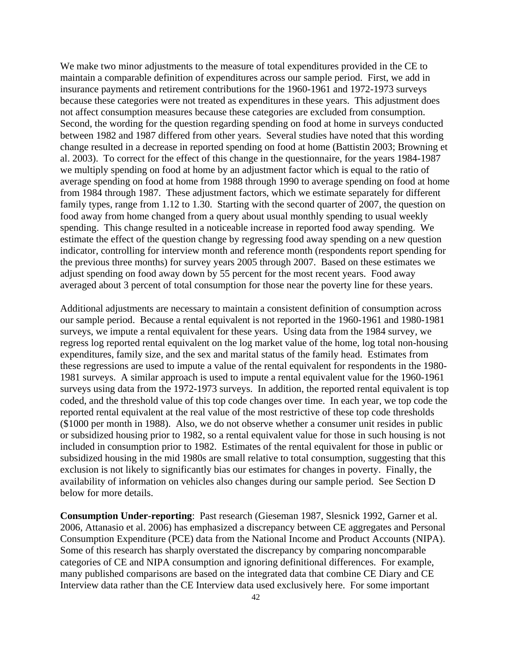We make two minor adjustments to the measure of total expenditures provided in the CE to maintain a comparable definition of expenditures across our sample period. First, we add in insurance payments and retirement contributions for the 1960-1961 and 1972-1973 surveys because these categories were not treated as expenditures in these years. This adjustment does not affect consumption measures because these categories are excluded from consumption. Second, the wording for the question regarding spending on food at home in surveys conducted between 1982 and 1987 differed from other years. Several studies have noted that this wording change resulted in a decrease in reported spending on food at home (Battistin 2003; Browning et al. 2003). To correct for the effect of this change in the questionnaire, for the years 1984-1987 we multiply spending on food at home by an adjustment factor which is equal to the ratio of average spending on food at home from 1988 through 1990 to average spending on food at home from 1984 through 1987. These adjustment factors, which we estimate separately for different family types, range from 1.12 to 1.30. Starting with the second quarter of 2007, the question on food away from home changed from a query about usual monthly spending to usual weekly spending. This change resulted in a noticeable increase in reported food away spending. We estimate the effect of the question change by regressing food away spending on a new question indicator, controlling for interview month and reference month (respondents report spending for the previous three months) for survey years 2005 through 2007. Based on these estimates we adjust spending on food away down by 55 percent for the most recent years. Food away averaged about 3 percent of total consumption for those near the poverty line for these years.

Additional adjustments are necessary to maintain a consistent definition of consumption across our sample period. Because a rental equivalent is not reported in the 1960-1961 and 1980-1981 surveys, we impute a rental equivalent for these years. Using data from the 1984 survey, we regress log reported rental equivalent on the log market value of the home, log total non-housing expenditures, family size, and the sex and marital status of the family head. Estimates from these regressions are used to impute a value of the rental equivalent for respondents in the 1980- 1981 surveys. A similar approach is used to impute a rental equivalent value for the 1960-1961 surveys using data from the 1972-1973 surveys. In addition, the reported rental equivalent is top coded, and the threshold value of this top code changes over time. In each year, we top code the reported rental equivalent at the real value of the most restrictive of these top code thresholds (\$1000 per month in 1988). Also, we do not observe whether a consumer unit resides in public or subsidized housing prior to 1982, so a rental equivalent value for those in such housing is not included in consumption prior to 1982. Estimates of the rental equivalent for those in public or subsidized housing in the mid 1980s are small relative to total consumption, suggesting that this exclusion is not likely to significantly bias our estimates for changes in poverty. Finally, the availability of information on vehicles also changes during our sample period. See Section D below for more details.

**Consumption Under-reporting**: Past research (Gieseman 1987, Slesnick 1992, Garner et al. 2006, Attanasio et al. 2006) has emphasized a discrepancy between CE aggregates and Personal Consumption Expenditure (PCE) data from the National Income and Product Accounts (NIPA). Some of this research has sharply overstated the discrepancy by comparing noncomparable categories of CE and NIPA consumption and ignoring definitional differences. For example, many published comparisons are based on the integrated data that combine CE Diary and CE Interview data rather than the CE Interview data used exclusively here. For some important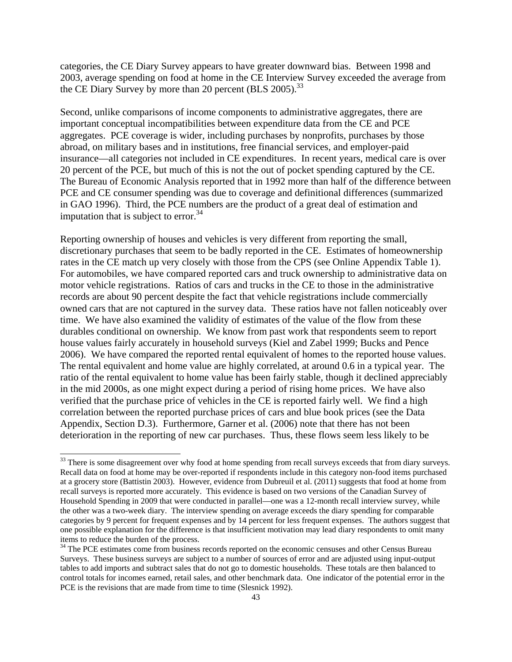categories, the CE Diary Survey appears to have greater downward bias. Between 1998 and 2003, average spending on food at home in the CE Interview Survey exceeded the average from the CE Diary Survey by more than 20 percent (BLS 2005).<sup>33</sup>

Second, unlike comparisons of income components to administrative aggregates, there are important conceptual incompatibilities between expenditure data from the CE and PCE aggregates. PCE coverage is wider, including purchases by nonprofits, purchases by those abroad, on military bases and in institutions, free financial services, and employer-paid insurance—all categories not included in CE expenditures. In recent years, medical care is over 20 percent of the PCE, but much of this is not the out of pocket spending captured by the CE. The Bureau of Economic Analysis reported that in 1992 more than half of the difference between PCE and CE consumer spending was due to coverage and definitional differences (summarized in GAO 1996). Third, the PCE numbers are the product of a great deal of estimation and imputation that is subject to error.<sup>34</sup>

Reporting ownership of houses and vehicles is very different from reporting the small, discretionary purchases that seem to be badly reported in the CE. Estimates of homeownership rates in the CE match up very closely with those from the CPS (see Online Appendix Table 1). For automobiles, we have compared reported cars and truck ownership to administrative data on motor vehicle registrations. Ratios of cars and trucks in the CE to those in the administrative records are about 90 percent despite the fact that vehicle registrations include commercially owned cars that are not captured in the survey data. These ratios have not fallen noticeably over time. We have also examined the validity of estimates of the value of the flow from these durables conditional on ownership. We know from past work that respondents seem to report house values fairly accurately in household surveys (Kiel and Zabel 1999; Bucks and Pence 2006). We have compared the reported rental equivalent of homes to the reported house values. The rental equivalent and home value are highly correlated, at around 0.6 in a typical year. The ratio of the rental equivalent to home value has been fairly stable, though it declined appreciably in the mid 2000s, as one might expect during a period of rising home prices. We have also verified that the purchase price of vehicles in the CE is reported fairly well. We find a high correlation between the reported purchase prices of cars and blue book prices (see the Data Appendix, Section D.3). Furthermore, Garner et al. (2006) note that there has not been deterioration in the reporting of new car purchases. Thus, these flows seem less likely to be

 $\overline{\phantom{a}}$ 

<sup>&</sup>lt;sup>33</sup> There is some disagreement over why food at home spending from recall surveys exceeds that from diary surveys. Recall data on food at home may be over-reported if respondents include in this category non-food items purchased at a grocery store (Battistin 2003). However, evidence from Dubreuil et al. (2011) suggests that food at home from recall surveys is reported more accurately. This evidence is based on two versions of the Canadian Survey of Household Spending in 2009 that were conducted in parallel—one was a 12-month recall interview survey, while the other was a two-week diary. The interview spending on average exceeds the diary spending for comparable categories by 9 percent for frequent expenses and by 14 percent for less frequent expenses. The authors suggest that one possible explanation for the difference is that insufficient motivation may lead diary respondents to omit many items to reduce the burden of the process.

<sup>&</sup>lt;sup>34</sup> The PCE estimates come from business records reported on the economic censuses and other Census Bureau Surveys. These business surveys are subject to a number of sources of error and are adjusted using input-output tables to add imports and subtract sales that do not go to domestic households. These totals are then balanced to control totals for incomes earned, retail sales, and other benchmark data. One indicator of the potential error in the PCE is the revisions that are made from time to time (Slesnick 1992).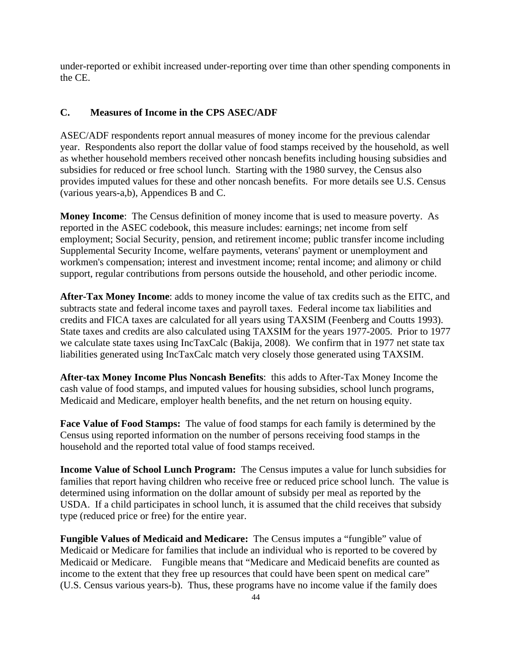under-reported or exhibit increased under-reporting over time than other spending components in the CE.

## **C. Measures of Income in the CPS ASEC/ADF**

ASEC/ADF respondents report annual measures of money income for the previous calendar year. Respondents also report the dollar value of food stamps received by the household, as well as whether household members received other noncash benefits including housing subsidies and subsidies for reduced or free school lunch. Starting with the 1980 survey, the Census also provides imputed values for these and other noncash benefits. For more details see U.S. Census (various years-a,b), Appendices B and C.

**Money Income**: The Census definition of money income that is used to measure poverty. As reported in the ASEC codebook, this measure includes: earnings; net income from self employment; Social Security, pension, and retirement income; public transfer income including Supplemental Security Income, welfare payments, veterans' payment or unemployment and workmen's compensation; interest and investment income; rental income; and alimony or child support, regular contributions from persons outside the household, and other periodic income.

**After-Tax Money Income**: adds to money income the value of tax credits such as the EITC, and subtracts state and federal income taxes and payroll taxes. Federal income tax liabilities and credits and FICA taxes are calculated for all years using TAXSIM (Feenberg and Coutts 1993). State taxes and credits are also calculated using TAXSIM for the years 1977-2005. Prior to 1977 we calculate state taxes using IncTaxCalc (Bakija, 2008). We confirm that in 1977 net state tax liabilities generated using IncTaxCalc match very closely those generated using TAXSIM.

**After-tax Money Income Plus Noncash Benefits**: this adds to After-Tax Money Income the cash value of food stamps, and imputed values for housing subsidies, school lunch programs, Medicaid and Medicare, employer health benefits, and the net return on housing equity.

**Face Value of Food Stamps:** The value of food stamps for each family is determined by the Census using reported information on the number of persons receiving food stamps in the household and the reported total value of food stamps received.

**Income Value of School Lunch Program:** The Census imputes a value for lunch subsidies for families that report having children who receive free or reduced price school lunch. The value is determined using information on the dollar amount of subsidy per meal as reported by the USDA. If a child participates in school lunch, it is assumed that the child receives that subsidy type (reduced price or free) for the entire year.

**Fungible Values of Medicaid and Medicare:** The Census imputes a "fungible" value of Medicaid or Medicare for families that include an individual who is reported to be covered by Medicaid or Medicare. Fungible means that "Medicare and Medicaid benefits are counted as income to the extent that they free up resources that could have been spent on medical care" (U.S. Census various years-b). Thus, these programs have no income value if the family does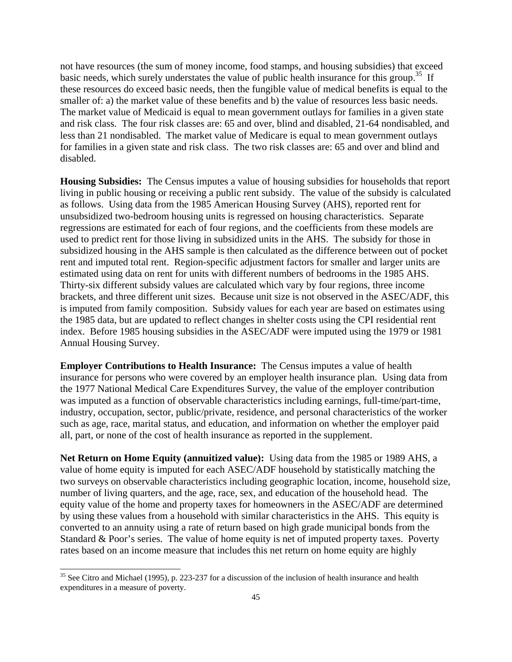not have resources (the sum of money income, food stamps, and housing subsidies) that exceed basic needs, which surely understates the value of public health insurance for this group.<sup>35</sup> If these resources do exceed basic needs, then the fungible value of medical benefits is equal to the smaller of: a) the market value of these benefits and b) the value of resources less basic needs. The market value of Medicaid is equal to mean government outlays for families in a given state and risk class. The four risk classes are: 65 and over, blind and disabled, 21-64 nondisabled, and less than 21 nondisabled. The market value of Medicare is equal to mean government outlays for families in a given state and risk class. The two risk classes are: 65 and over and blind and disabled.

**Housing Subsidies:** The Census imputes a value of housing subsidies for households that report living in public housing or receiving a public rent subsidy. The value of the subsidy is calculated as follows. Using data from the 1985 American Housing Survey (AHS), reported rent for unsubsidized two-bedroom housing units is regressed on housing characteristics. Separate regressions are estimated for each of four regions, and the coefficients from these models are used to predict rent for those living in subsidized units in the AHS. The subsidy for those in subsidized housing in the AHS sample is then calculated as the difference between out of pocket rent and imputed total rent. Region-specific adjustment factors for smaller and larger units are estimated using data on rent for units with different numbers of bedrooms in the 1985 AHS. Thirty-six different subsidy values are calculated which vary by four regions, three income brackets, and three different unit sizes. Because unit size is not observed in the ASEC/ADF, this is imputed from family composition. Subsidy values for each year are based on estimates using the 1985 data, but are updated to reflect changes in shelter costs using the CPI residential rent index. Before 1985 housing subsidies in the ASEC/ADF were imputed using the 1979 or 1981 Annual Housing Survey.

**Employer Contributions to Health Insurance:** The Census imputes a value of health insurance for persons who were covered by an employer health insurance plan. Using data from the 1977 National Medical Care Expenditures Survey, the value of the employer contribution was imputed as a function of observable characteristics including earnings, full-time/part-time, industry, occupation, sector, public/private, residence, and personal characteristics of the worker such as age, race, marital status, and education, and information on whether the employer paid all, part, or none of the cost of health insurance as reported in the supplement.

**Net Return on Home Equity (annuitized value):** Using data from the 1985 or 1989 AHS, a value of home equity is imputed for each ASEC/ADF household by statistically matching the two surveys on observable characteristics including geographic location, income, household size, number of living quarters, and the age, race, sex, and education of the household head. The equity value of the home and property taxes for homeowners in the ASEC/ADF are determined by using these values from a household with similar characteristics in the AHS. This equity is converted to an annuity using a rate of return based on high grade municipal bonds from the Standard & Poor's series. The value of home equity is net of imputed property taxes. Poverty rates based on an income measure that includes this net return on home equity are highly

l

<sup>&</sup>lt;sup>35</sup> See Citro and Michael (1995), p. 223-237 for a discussion of the inclusion of health insurance and health expenditures in a measure of poverty.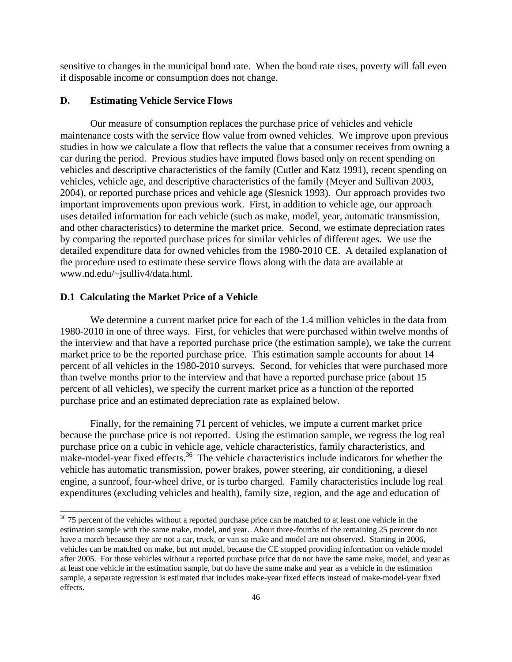sensitive to changes in the municipal bond rate. When the bond rate rises, poverty will fall even if disposable income or consumption does not change.

### **D. Estimating Vehicle Service Flows**

Our measure of consumption replaces the purchase price of vehicles and vehicle maintenance costs with the service flow value from owned vehicles. We improve upon previous studies in how we calculate a flow that reflects the value that a consumer receives from owning a car during the period. Previous studies have imputed flows based only on recent spending on vehicles and descriptive characteristics of the family (Cutler and Katz 1991), recent spending on vehicles, vehicle age, and descriptive characteristics of the family (Meyer and Sullivan 2003, 2004), or reported purchase prices and vehicle age (Slesnick 1993). Our approach provides two important improvements upon previous work. First, in addition to vehicle age, our approach uses detailed information for each vehicle (such as make, model, year, automatic transmission, and other characteristics) to determine the market price. Second, we estimate depreciation rates by comparing the reported purchase prices for similar vehicles of different ages. We use the detailed expenditure data for owned vehicles from the 1980-2010 CE. A detailed explanation of the procedure used to estimate these service flows along with the data are available at www.nd.edu/~jsulliv4/data.html.

#### **D.1 Calculating the Market Price of a Vehicle**

l

We determine a current market price for each of the 1.4 million vehicles in the data from 1980-2010 in one of three ways. First, for vehicles that were purchased within twelve months of the interview and that have a reported purchase price (the estimation sample), we take the current market price to be the reported purchase price. This estimation sample accounts for about 14 percent of all vehicles in the 1980-2010 surveys. Second, for vehicles that were purchased more than twelve months prior to the interview and that have a reported purchase price (about 15 percent of all vehicles), we specify the current market price as a function of the reported purchase price and an estimated depreciation rate as explained below.

Finally, for the remaining 71 percent of vehicles, we impute a current market price because the purchase price is not reported. Using the estimation sample, we regress the log real purchase price on a cubic in vehicle age, vehicle characteristics, family characteristics, and make-model-year fixed effects.<sup>36</sup> The vehicle characteristics include indicators for whether the vehicle has automatic transmission, power brakes, power steering, air conditioning, a diesel engine, a sunroof, four-wheel drive, or is turbo charged. Family characteristics include log real expenditures (excluding vehicles and health), family size, region, and the age and education of

<sup>&</sup>lt;sup>36</sup> 75 percent of the vehicles without a reported purchase price can be matched to at least one vehicle in the estimation sample with the same make, model, and year. About three-fourths of the remaining 25 percent do not have a match because they are not a car, truck, or van so make and model are not observed. Starting in 2006, vehicles can be matched on make, but not model, because the CE stopped providing information on vehicle model after 2005. For those vehicles without a reported purchase price that do not have the same make, model, and year as at least one vehicle in the estimation sample, but do have the same make and year as a vehicle in the estimation sample, a separate regression is estimated that includes make-year fixed effects instead of make-model-year fixed effects.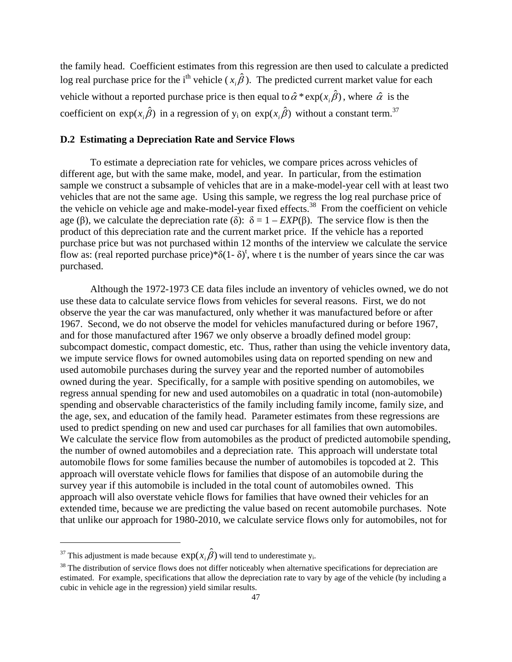the family head. Coefficient estimates from this regression are then used to calculate a predicted log real purchase price for the i<sup>th</sup> vehicle ( $x_i \hat{\beta}$ ). The predicted current market value for each vehicle without a reported purchase price is then equal to  $\hat{\alpha} * \exp(x, \hat{\beta})$ , where  $\hat{\alpha}$  is the coefficient on  $exp(x_i \hat{\beta})$  in a regression of y<sub>i</sub> on  $exp(x_i \hat{\beta})$  without a constant term.<sup>37</sup>

## **D.2 Estimating a Depreciation Rate and Service Flows**

To estimate a depreciation rate for vehicles, we compare prices across vehicles of different age, but with the same make, model, and year. In particular, from the estimation sample we construct a subsample of vehicles that are in a make-model-year cell with at least two vehicles that are not the same age. Using this sample, we regress the log real purchase price of the vehicle on vehicle age and make-model-year fixed effects.38 From the coefficient on vehicle age (β), we calculate the depreciation rate (δ):  $\delta = 1 - EXP(\beta)$ . The service flow is then the product of this depreciation rate and the current market price. If the vehicle has a reported purchase price but was not purchased within 12 months of the interview we calculate the service flow as: (real reported purchase price)\* $\delta(1-\delta)^t$ , where t is the number of years since the car was purchased.

Although the 1972-1973 CE data files include an inventory of vehicles owned, we do not use these data to calculate service flows from vehicles for several reasons. First, we do not observe the year the car was manufactured, only whether it was manufactured before or after 1967. Second, we do not observe the model for vehicles manufactured during or before 1967, and for those manufactured after 1967 we only observe a broadly defined model group: subcompact domestic, compact domestic, etc. Thus, rather than using the vehicle inventory data, we impute service flows for owned automobiles using data on reported spending on new and used automobile purchases during the survey year and the reported number of automobiles owned during the year. Specifically, for a sample with positive spending on automobiles, we regress annual spending for new and used automobiles on a quadratic in total (non-automobile) spending and observable characteristics of the family including family income, family size, and the age, sex, and education of the family head. Parameter estimates from these regressions are used to predict spending on new and used car purchases for all families that own automobiles. We calculate the service flow from automobiles as the product of predicted automobile spending, the number of owned automobiles and a depreciation rate. This approach will understate total automobile flows for some families because the number of automobiles is topcoded at 2. This approach will overstate vehicle flows for families that dispose of an automobile during the survey year if this automobile is included in the total count of automobiles owned. This approach will also overstate vehicle flows for families that have owned their vehicles for an extended time, because we are predicting the value based on recent automobile purchases. Note that unlike our approach for 1980-2010, we calculate service flows only for automobiles, not for

l

<sup>&</sup>lt;sup>37</sup> This adjustment is made because  $exp(x_i \hat{\beta})$  will tend to underestimate y<sub>i</sub>.<br><sup>38</sup> The distribution of service flows does not differ noticeably when alternative specifications for depreciation are estimated. For example, specifications that allow the depreciation rate to vary by age of the vehicle (by including a cubic in vehicle age in the regression) yield similar results.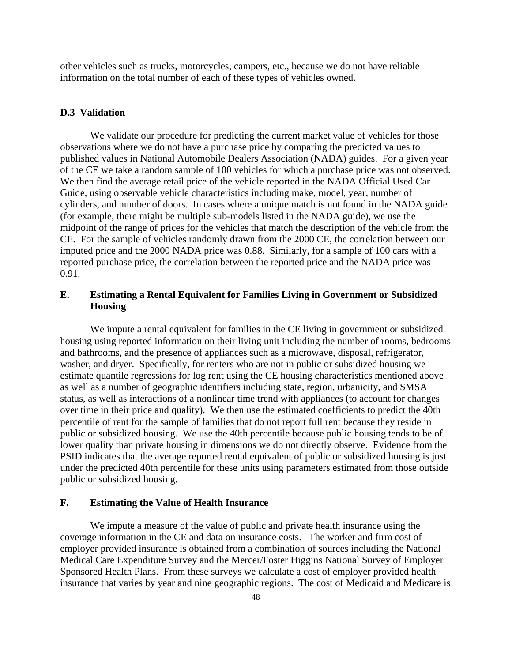other vehicles such as trucks, motorcycles, campers, etc., because we do not have reliable information on the total number of each of these types of vehicles owned.

### **D.3 Validation**

We validate our procedure for predicting the current market value of vehicles for those observations where we do not have a purchase price by comparing the predicted values to published values in National Automobile Dealers Association (NADA) guides. For a given year of the CE we take a random sample of 100 vehicles for which a purchase price was not observed. We then find the average retail price of the vehicle reported in the NADA Official Used Car Guide, using observable vehicle characteristics including make, model, year, number of cylinders, and number of doors. In cases where a unique match is not found in the NADA guide (for example, there might be multiple sub-models listed in the NADA guide), we use the midpoint of the range of prices for the vehicles that match the description of the vehicle from the CE. For the sample of vehicles randomly drawn from the 2000 CE, the correlation between our imputed price and the 2000 NADA price was 0.88. Similarly, for a sample of 100 cars with a reported purchase price, the correlation between the reported price and the NADA price was 0.91.

# **E. Estimating a Rental Equivalent for Families Living in Government or Subsidized Housing**

 We impute a rental equivalent for families in the CE living in government or subsidized housing using reported information on their living unit including the number of rooms, bedrooms and bathrooms, and the presence of appliances such as a microwave, disposal, refrigerator, washer, and dryer. Specifically, for renters who are not in public or subsidized housing we estimate quantile regressions for log rent using the CE housing characteristics mentioned above as well as a number of geographic identifiers including state, region, urbanicity, and SMSA status, as well as interactions of a nonlinear time trend with appliances (to account for changes over time in their price and quality). We then use the estimated coefficients to predict the 40th percentile of rent for the sample of families that do not report full rent because they reside in public or subsidized housing. We use the 40th percentile because public housing tends to be of lower quality than private housing in dimensions we do not directly observe. Evidence from the PSID indicates that the average reported rental equivalent of public or subsidized housing is just under the predicted 40th percentile for these units using parameters estimated from those outside public or subsidized housing.

# **F. Estimating the Value of Health Insurance**

 We impute a measure of the value of public and private health insurance using the coverage information in the CE and data on insurance costs. The worker and firm cost of employer provided insurance is obtained from a combination of sources including the National Medical Care Expenditure Survey and the Mercer/Foster Higgins National Survey of Employer Sponsored Health Plans. From these surveys we calculate a cost of employer provided health insurance that varies by year and nine geographic regions. The cost of Medicaid and Medicare is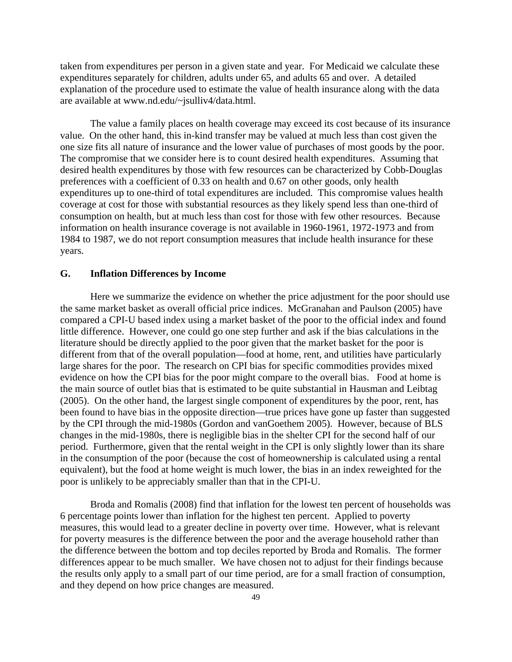taken from expenditures per person in a given state and year. For Medicaid we calculate these expenditures separately for children, adults under 65, and adults 65 and over. A detailed explanation of the procedure used to estimate the value of health insurance along with the data are available at www.nd.edu/~jsulliv4/data.html.

 The value a family places on health coverage may exceed its cost because of its insurance value. On the other hand, this in-kind transfer may be valued at much less than cost given the one size fits all nature of insurance and the lower value of purchases of most goods by the poor. The compromise that we consider here is to count desired health expenditures. Assuming that desired health expenditures by those with few resources can be characterized by Cobb-Douglas preferences with a coefficient of 0.33 on health and 0.67 on other goods, only health expenditures up to one-third of total expenditures are included. This compromise values health coverage at cost for those with substantial resources as they likely spend less than one-third of consumption on health, but at much less than cost for those with few other resources. Because information on health insurance coverage is not available in 1960-1961, 1972-1973 and from 1984 to 1987, we do not report consumption measures that include health insurance for these years.

#### **G. Inflation Differences by Income**

 Here we summarize the evidence on whether the price adjustment for the poor should use the same market basket as overall official price indices. McGranahan and Paulson (2005) have compared a CPI-U based index using a market basket of the poor to the official index and found little difference. However, one could go one step further and ask if the bias calculations in the literature should be directly applied to the poor given that the market basket for the poor is different from that of the overall population—food at home, rent, and utilities have particularly large shares for the poor. The research on CPI bias for specific commodities provides mixed evidence on how the CPI bias for the poor might compare to the overall bias. Food at home is the main source of outlet bias that is estimated to be quite substantial in Hausman and Leibtag (2005). On the other hand, the largest single component of expenditures by the poor, rent, has been found to have bias in the opposite direction—true prices have gone up faster than suggested by the CPI through the mid-1980s (Gordon and vanGoethem 2005). However, because of BLS changes in the mid-1980s, there is negligible bias in the shelter CPI for the second half of our period. Furthermore, given that the rental weight in the CPI is only slightly lower than its share in the consumption of the poor (because the cost of homeownership is calculated using a rental equivalent), but the food at home weight is much lower, the bias in an index reweighted for the poor is unlikely to be appreciably smaller than that in the CPI-U.

 Broda and Romalis (2008) find that inflation for the lowest ten percent of households was 6 percentage points lower than inflation for the highest ten percent. Applied to poverty measures, this would lead to a greater decline in poverty over time. However, what is relevant for poverty measures is the difference between the poor and the average household rather than the difference between the bottom and top deciles reported by Broda and Romalis. The former differences appear to be much smaller. We have chosen not to adjust for their findings because the results only apply to a small part of our time period, are for a small fraction of consumption, and they depend on how price changes are measured.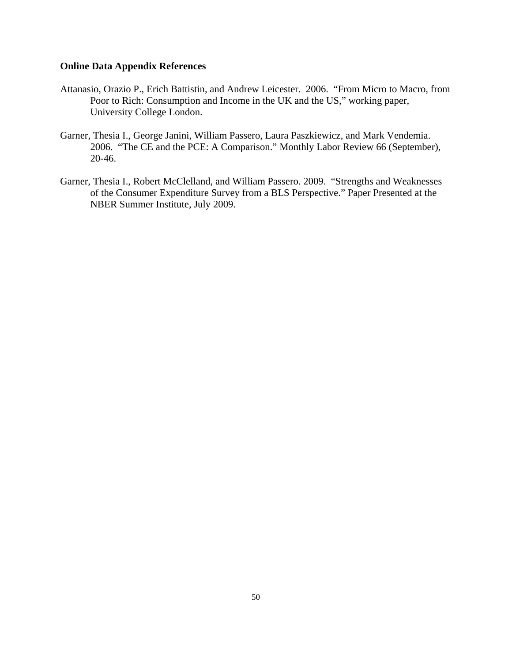### **Online Data Appendix References**

- Attanasio, Orazio P., Erich Battistin, and Andrew Leicester. 2006. "From Micro to Macro, from Poor to Rich: Consumption and Income in the UK and the US," working paper, University College London.
- Garner, Thesia I., George Janini, William Passero, Laura Paszkiewicz, and Mark Vendemia. 2006. "The CE and the PCE: A Comparison." Monthly Labor Review 66 (September), 20-46.
- Garner, Thesia I., Robert McClelland, and William Passero. 2009. "Strengths and Weaknesses of the Consumer Expenditure Survey from a BLS Perspective." Paper Presented at the NBER Summer Institute, July 2009.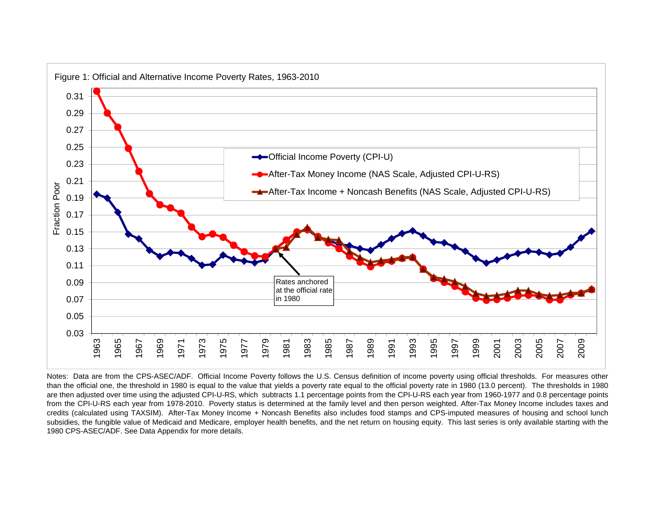

Notes: Data are from the CPS-ASEC/ADF. Official Income Poverty follows the U.S. Census definition of income poverty using official thresholds. For measures other than the official one, the threshold in 1980 is equal to the value that yields <sup>a</sup> poverty rate equal to the official poverty rate in 1980 (13.0 percent). The thresholds in 1980 are then adjusted over time using the adjusted CPI-U-RS, which subtracts 1.1 percentage points from the CPI-U-RS each year from 1960-1977 and 0.8 percentage points from the CPI-U-RS each year from 1978-2010. Poverty status is determined at the family level and then person weighted. After-Tax Money Income includes taxes and credits (calculated using TAXSIM). After-Tax Money Income <sup>+</sup> Noncash Benefits also includes food stamps and CPS-imputed measures of housing and school lunch subsidies, the fungible value of Medicaid and Medicare, employer health benefits, and the net return on housing equity. This last series is only available starting with the 1980 CPS-ASEC/ADF. See Data Appendix for more details.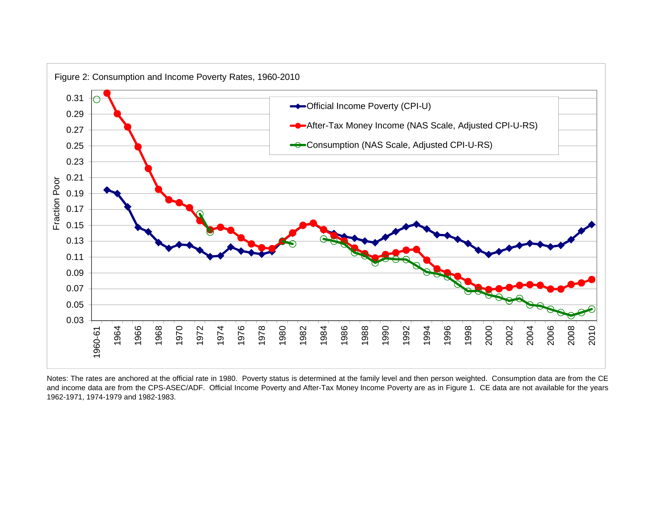

Notes: The rates are anchored at the official rate in 1980. Poverty status is determined at the family level and then person weighted. Consumption data are from the CE and income data are from the CPS-ASEC/ADF. Official Income Poverty and After-Tax Money Income Poverty are as in Figure 1. CE data are not available for the years 1962-1971, 1974-1979 and 1982-1983.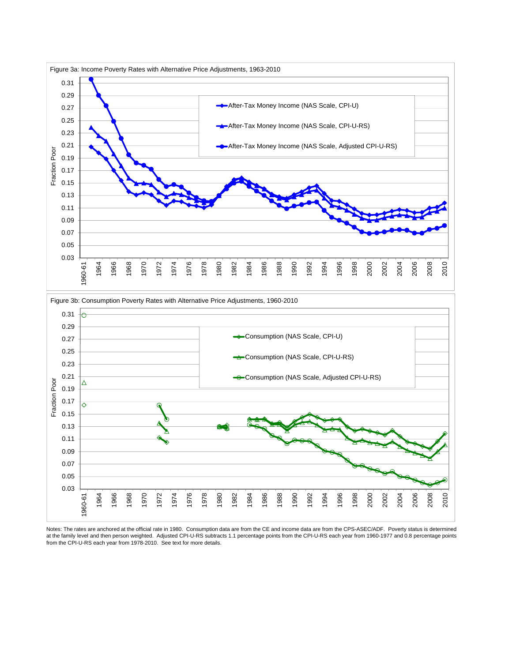

Notes: The rates are anchored at the official rate in 1980. Consumption data are from the CE and income data are from the CPS-ASEC/ADF. Poverty status is determined at the family level and then person weighted. Adjusted CPI-U-RS subtracts 1.1 percentage points from the CPI-U-RS each year from 1960-1977 and 0.8 percentage points from the CPI-U-RS each year from 1978-2010. See text for more details.

0.03 0.05

1960-61 1964 1966 1968 1970 1972 1974 1976 1978 1980 1982 1984 1986 1988 1990 1992 1994 1996 1998 2000 2002 2004 2006 2008 2010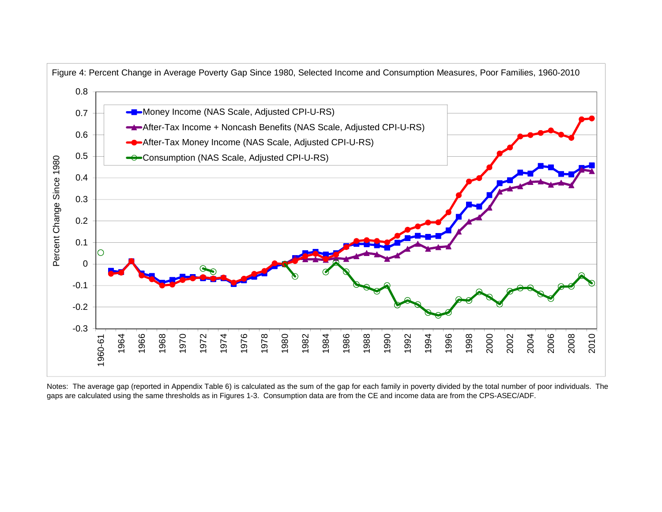

Notes: The average gap (reported in Appendix Table 6) is calculated as the sum of the gap for each family in poverty divided by the total number of poor individuals. The gaps are calculated using the same thresholds as in Figures 1-3. Consumption data are from the CE and income data are from the CPS-ASEC/ADF.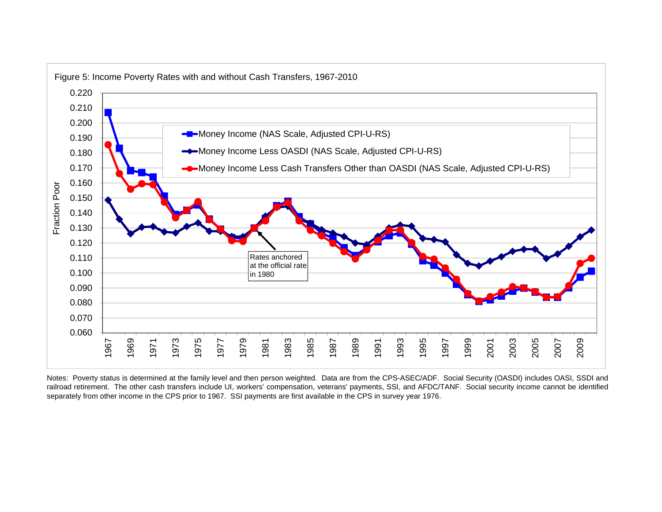

Notes: Poverty status is determined at the family level and then person weighted. Data are from the CPS-ASEC/ADF. Social Security (OASDI) includes OASI, SSDI and railroad retirement. The other cash transfers include UI, workers' compensation, veterans' payments, SSI, and AFDC/TANF. Social security income cannot be identified separately from other income in the CPS prior to 1967. SSI payments are first available in the CPS in survey year 1976.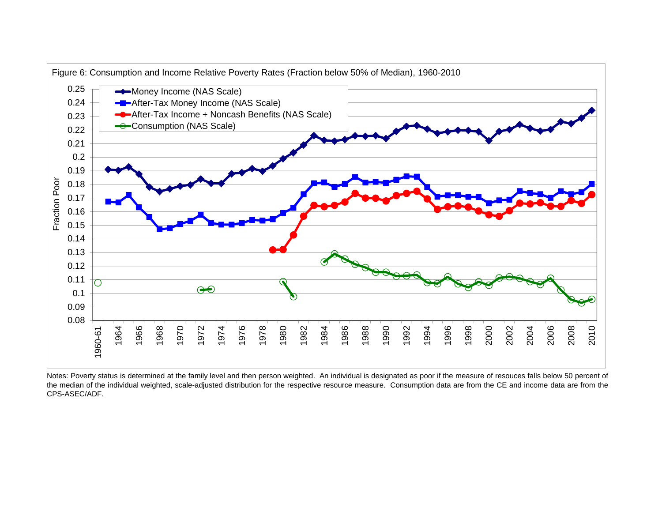

Notes: Poverty status is determined at the family level and then person weighted. An individual is designated as poor if the measure of resouces falls below 50 percent of the median of the individual weighted, scale-adjusted distribution for the respective resource measure. Consumption data are from the CE and income data are from the CPS-ASEC/ADF.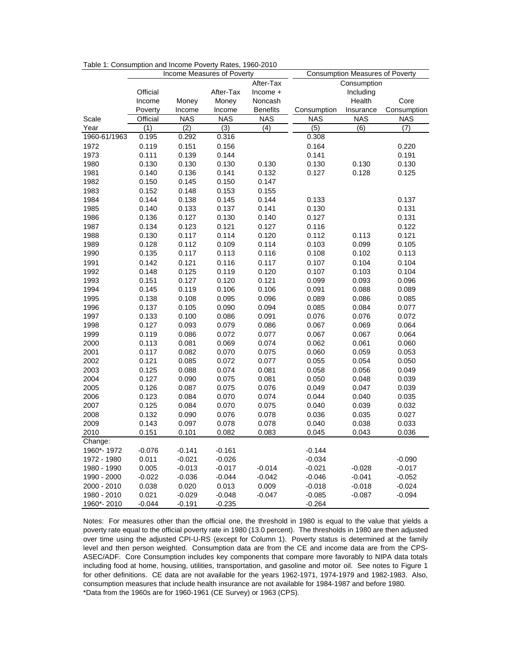|              |          |            | Income Measures of Poverty | <b>Consumption Measures of Poverty</b> |             |             |                  |  |  |  |
|--------------|----------|------------|----------------------------|----------------------------------------|-------------|-------------|------------------|--|--|--|
|              |          |            |                            | After-Tax                              |             | Consumption |                  |  |  |  |
|              | Official |            | After-Tax                  | Income +                               |             | Including   |                  |  |  |  |
|              | Income   | Money      | Money                      | Noncash                                |             | Health      | Core             |  |  |  |
|              | Poverty  | Income     | Income                     | <b>Benefits</b>                        | Consumption | Insurance   | Consumption      |  |  |  |
| Scale        | Official | <b>NAS</b> | <b>NAS</b>                 | <b>NAS</b>                             | <b>NAS</b>  | <b>NAS</b>  | <b>NAS</b>       |  |  |  |
| Year         | (1)      | (2)        | (3)                        | $\overline{(4)}$                       | (5)         | (6)         | $\overline{(7)}$ |  |  |  |
| 1960-61/1963 | 0.195    | 0.292      | 0.316                      |                                        | 0.308       |             |                  |  |  |  |
| 1972         | 0.119    | 0.151      | 0.156                      |                                        | 0.164       |             | 0.220            |  |  |  |
| 1973         | 0.111    | 0.139      | 0.144                      |                                        | 0.141       |             | 0.191            |  |  |  |
| 1980         | 0.130    | 0.130      | 0.130                      | 0.130                                  | 0.130       | 0.130       | 0.130            |  |  |  |
| 1981         | 0.140    | 0.136      | 0.141                      | 0.132                                  | 0.127       | 0.128       | 0.125            |  |  |  |
| 1982         | 0.150    | 0.145      | 0.150                      | 0.147                                  |             |             |                  |  |  |  |
| 1983         | 0.152    | 0.148      | 0.153                      | 0.155                                  |             |             |                  |  |  |  |
| 1984         | 0.144    | 0.138      | 0.145                      | 0.144                                  | 0.133       |             | 0.137            |  |  |  |
| 1985         | 0.140    | 0.133      | 0.137                      | 0.141                                  | 0.130       |             | 0.131            |  |  |  |
| 1986         | 0.136    | 0.127      | 0.130                      | 0.140                                  | 0.127       |             | 0.131            |  |  |  |
| 1987         | 0.134    | 0.123      | 0.121                      | 0.127                                  | 0.116       |             | 0.122            |  |  |  |
| 1988         | 0.130    | 0.117      | 0.114                      | 0.120                                  | 0.112       | 0.113       | 0.121            |  |  |  |
| 1989         | 0.128    | 0.112      | 0.109                      | 0.114                                  | 0.103       | 0.099       | 0.105            |  |  |  |
| 1990         | 0.135    | 0.117      | 0.113                      | 0.116                                  | 0.108       | 0.102       | 0.113            |  |  |  |
| 1991         | 0.142    | 0.121      | 0.116                      | 0.117                                  | 0.107       | 0.104       | 0.104            |  |  |  |
| 1992         | 0.148    | 0.125      | 0.119                      | 0.120                                  | 0.107       | 0.103       | 0.104            |  |  |  |
| 1993         | 0.151    | 0.127      | 0.120                      | 0.121                                  | 0.099       | 0.093       | 0.096            |  |  |  |
| 1994         | 0.145    | 0.119      | 0.106                      | 0.106                                  | 0.091       | 0.088       | 0.089            |  |  |  |
| 1995         | 0.138    | 0.108      | 0.095                      | 0.096                                  | 0.089       | 0.086       | 0.085            |  |  |  |
| 1996         | 0.137    | 0.105      | 0.090                      | 0.094                                  | 0.085       | 0.084       | 0.077            |  |  |  |
| 1997         | 0.133    | 0.100      | 0.086                      | 0.091                                  | 0.076       | 0.076       | 0.072            |  |  |  |
| 1998         | 0.127    | 0.093      | 0.079                      | 0.086                                  | 0.067       | 0.069       | 0.064            |  |  |  |
| 1999         | 0.119    | 0.086      | 0.072                      | 0.077                                  | 0.067       | 0.067       | 0.064            |  |  |  |
| 2000         | 0.113    | 0.081      | 0.069                      | 0.074                                  | 0.062       | 0.061       | 0.060            |  |  |  |
| 2001         | 0.117    | 0.082      | 0.070                      | 0.075                                  | 0.060       | 0.059       | 0.053            |  |  |  |
| 2002         | 0.121    | 0.085      | 0.072                      | 0.077                                  | 0.055       | 0.054       | 0.050            |  |  |  |
| 2003         | 0.125    | 0.088      | 0.074                      | 0.081                                  | 0.058       | 0.056       | 0.049            |  |  |  |
| 2004         | 0.127    | 0.090      | 0.075                      | 0.081                                  | 0.050       | 0.048       | 0.039            |  |  |  |
| 2005         | 0.126    | 0.087      | 0.075                      | 0.076                                  | 0.049       | 0.047       | 0.039            |  |  |  |
| 2006         | 0.123    | 0.084      | 0.070                      | 0.074                                  | 0.044       | 0.040       | 0.035            |  |  |  |
| 2007         | 0.125    | 0.084      | 0.070                      | 0.075                                  | 0.040       | 0.039       | 0.032            |  |  |  |
| 2008         | 0.132    | 0.090      | 0.076                      | 0.078                                  | 0.036       | 0.035       | 0.027            |  |  |  |
| 2009         | 0.143    | 0.097      | 0.078                      | 0.078                                  | 0.040       | 0.038       | 0.033            |  |  |  |
| 2010         | 0.151    | 0.101      | 0.082                      | 0.083                                  | 0.045       | 0.043       | 0.036            |  |  |  |
| Change:      |          |            |                            |                                        |             |             |                  |  |  |  |
| 1960*-1972   | $-0.076$ | $-0.141$   | $-0.161$                   |                                        | $-0.144$    |             |                  |  |  |  |
| 1972 - 1980  | 0.011    | $-0.021$   | $-0.026$                   |                                        | $-0.034$    |             | $-0.090$         |  |  |  |
| 1980 - 1990  | 0.005    | $-0.013$   | $-0.017$                   | $-0.014$                               | $-0.021$    | $-0.028$    | $-0.017$         |  |  |  |
| 1990 - 2000  | $-0.022$ | $-0.036$   | $-0.044$                   | $-0.042$                               | $-0.046$    | $-0.041$    | $-0.052$         |  |  |  |
| 2000 - 2010  | 0.038    | 0.020      | 0.013                      | 0.009                                  | $-0.018$    | $-0.018$    | $-0.024$         |  |  |  |
| 1980 - 2010  | 0.021    | $-0.029$   | $-0.048$                   | $-0.047$                               | $-0.085$    | $-0.087$    | $-0.094$         |  |  |  |
| 1960*-2010   | $-0.044$ | $-0.191$   | $-0.235$                   |                                        | $-0.264$    |             |                  |  |  |  |

Table 1: Consumption and Income Poverty Rates, 1960-2010

Notes: For measures other than the official one, the threshold in 1980 is equal to the value that yields a poverty rate equal to the official poverty rate in 1980 (13.0 percent). The thresholds in 1980 are then adjusted over time using the adjusted CPI-U-RS (except for Column 1). Poverty status is determined at the family level and then person weighted. Consumption data are from the CE and income data are from the CPS-ASEC/ADF. Core Consumption includes key components that compare more favorably to NIPA data totals including food at home, housing, utilities, transportation, and gasoline and motor oil. See notes to Figure 1 for other definitions. CE data are not available for the years 1962-1971, 1974-1979 and 1982-1983. Also, consumption measures that include health insurance are not available for 1984-1987 and before 1980. \*Data from the 1960s are for 1960-1961 (CE Survey) or 1963 (CPS).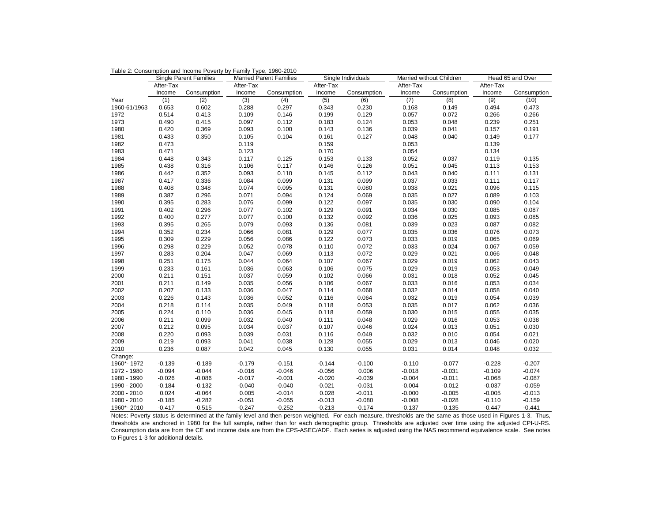| After-Tax<br>After-Tax<br>After-Tax<br>After-Tax<br>Income<br>Consumption<br>Income<br>Consumption<br>Income<br>Consumption<br>Income<br>Consumption<br>(3)<br>(7)<br>(1)<br>(2)<br>(4)<br>(5)<br>(6)<br>(8)<br>Year<br>1960-61/1963<br>0.653<br>0.602<br>0.288<br>0.297<br>0.343<br>0.230<br>0.168<br>0.149<br>0.109<br>0.146<br>0.072<br>1972<br>0.514<br>0.413<br>0.199<br>0.129<br>0.057<br>1973<br>0.490<br>0.415<br>0.097<br>0.112<br>0.183<br>0.124<br>0.053<br>0.048<br>1980<br>0.420<br>0.369<br>0.093<br>0.100<br>0.143<br>0.136<br>0.039<br>0.041<br>0.104<br>0.048<br>0.040<br>1981<br>0.433<br>0.350<br>0.105<br>0.161<br>0.127<br>1982<br>0.473<br>0.159<br>0.053<br>0.119<br>1983<br>0.471<br>0.123<br>0.170<br>0.054<br>1984<br>0.448<br>0.343<br>0.117<br>0.125<br>0.153<br>0.133<br>0.052<br>0.037<br>1985<br>0.316<br>0.106<br>0.117<br>0.146<br>0.126<br>0.051<br>0.045<br>0.438<br>0.093<br>0.110<br>0.040<br>1986<br>0.442<br>0.352<br>0.145<br>0.112<br>0.043<br>1987<br>0.417<br>0.336<br>0.084<br>0.099<br>0.131<br>0.099<br>0.037<br>0.033<br>0.095<br>1988<br>0.408<br>0.348<br>0.074<br>0.131<br>0.080<br>0.038 | Married without Children<br>Head 65 and Over |
|---------------------------------------------------------------------------------------------------------------------------------------------------------------------------------------------------------------------------------------------------------------------------------------------------------------------------------------------------------------------------------------------------------------------------------------------------------------------------------------------------------------------------------------------------------------------------------------------------------------------------------------------------------------------------------------------------------------------------------------------------------------------------------------------------------------------------------------------------------------------------------------------------------------------------------------------------------------------------------------------------------------------------------------------------------------------------------------------------------------------------------------------|----------------------------------------------|
|                                                                                                                                                                                                                                                                                                                                                                                                                                                                                                                                                                                                                                                                                                                                                                                                                                                                                                                                                                                                                                                                                                                                             | After-Tax                                    |
|                                                                                                                                                                                                                                                                                                                                                                                                                                                                                                                                                                                                                                                                                                                                                                                                                                                                                                                                                                                                                                                                                                                                             | Income<br>Consumption                        |
|                                                                                                                                                                                                                                                                                                                                                                                                                                                                                                                                                                                                                                                                                                                                                                                                                                                                                                                                                                                                                                                                                                                                             | (9)<br>(10)                                  |
|                                                                                                                                                                                                                                                                                                                                                                                                                                                                                                                                                                                                                                                                                                                                                                                                                                                                                                                                                                                                                                                                                                                                             | 0.494<br>0.473                               |
|                                                                                                                                                                                                                                                                                                                                                                                                                                                                                                                                                                                                                                                                                                                                                                                                                                                                                                                                                                                                                                                                                                                                             | 0.266<br>0.266                               |
|                                                                                                                                                                                                                                                                                                                                                                                                                                                                                                                                                                                                                                                                                                                                                                                                                                                                                                                                                                                                                                                                                                                                             | 0.239<br>0.251                               |
|                                                                                                                                                                                                                                                                                                                                                                                                                                                                                                                                                                                                                                                                                                                                                                                                                                                                                                                                                                                                                                                                                                                                             | 0.157<br>0.191                               |
|                                                                                                                                                                                                                                                                                                                                                                                                                                                                                                                                                                                                                                                                                                                                                                                                                                                                                                                                                                                                                                                                                                                                             | 0.149<br>0.177                               |
|                                                                                                                                                                                                                                                                                                                                                                                                                                                                                                                                                                                                                                                                                                                                                                                                                                                                                                                                                                                                                                                                                                                                             | 0.139                                        |
|                                                                                                                                                                                                                                                                                                                                                                                                                                                                                                                                                                                                                                                                                                                                                                                                                                                                                                                                                                                                                                                                                                                                             | 0.134                                        |
|                                                                                                                                                                                                                                                                                                                                                                                                                                                                                                                                                                                                                                                                                                                                                                                                                                                                                                                                                                                                                                                                                                                                             | 0.119<br>0.135                               |
|                                                                                                                                                                                                                                                                                                                                                                                                                                                                                                                                                                                                                                                                                                                                                                                                                                                                                                                                                                                                                                                                                                                                             | 0.153<br>0.113                               |
|                                                                                                                                                                                                                                                                                                                                                                                                                                                                                                                                                                                                                                                                                                                                                                                                                                                                                                                                                                                                                                                                                                                                             | 0.111<br>0.131                               |
|                                                                                                                                                                                                                                                                                                                                                                                                                                                                                                                                                                                                                                                                                                                                                                                                                                                                                                                                                                                                                                                                                                                                             | 0.111<br>0.117                               |
| 0.021                                                                                                                                                                                                                                                                                                                                                                                                                                                                                                                                                                                                                                                                                                                                                                                                                                                                                                                                                                                                                                                                                                                                       | 0.096<br>0.115                               |
| 1989<br>0.387<br>0.296<br>0.094<br>0.124<br>0.069<br>0.035<br>0.027<br>0.071                                                                                                                                                                                                                                                                                                                                                                                                                                                                                                                                                                                                                                                                                                                                                                                                                                                                                                                                                                                                                                                                | 0.103<br>0.089                               |
| 0.099<br>0.030<br>1990<br>0.395<br>0.283<br>0.076<br>0.122<br>0.097<br>0.035                                                                                                                                                                                                                                                                                                                                                                                                                                                                                                                                                                                                                                                                                                                                                                                                                                                                                                                                                                                                                                                                | 0.090<br>0.104                               |
| 1991<br>0.402<br>0.296<br>0.077<br>0.102<br>0.129<br>0.091<br>0.034<br>0.030                                                                                                                                                                                                                                                                                                                                                                                                                                                                                                                                                                                                                                                                                                                                                                                                                                                                                                                                                                                                                                                                | 0.085<br>0.087                               |
| 1992<br>0.400<br>0.277<br>0.077<br>0.100<br>0.132<br>0.092<br>0.036<br>0.025                                                                                                                                                                                                                                                                                                                                                                                                                                                                                                                                                                                                                                                                                                                                                                                                                                                                                                                                                                                                                                                                | 0.093<br>0.085                               |
| 0.023<br>1993<br>0.395<br>0.265<br>0.079<br>0.093<br>0.136<br>0.081<br>0.039                                                                                                                                                                                                                                                                                                                                                                                                                                                                                                                                                                                                                                                                                                                                                                                                                                                                                                                                                                                                                                                                | 0.087<br>0.082                               |
| 0.036<br>1994<br>0.352<br>0.234<br>0.066<br>0.081<br>0.129<br>0.077<br>0.035                                                                                                                                                                                                                                                                                                                                                                                                                                                                                                                                                                                                                                                                                                                                                                                                                                                                                                                                                                                                                                                                | 0.076<br>0.073                               |
| 0.019<br>1995<br>0.309<br>0.229<br>0.056<br>0.086<br>0.122<br>0.073<br>0.033                                                                                                                                                                                                                                                                                                                                                                                                                                                                                                                                                                                                                                                                                                                                                                                                                                                                                                                                                                                                                                                                | 0.065<br>0.069                               |
| 0.229<br>0.052<br>0.078<br>0.072<br>0.033<br>0.024<br>1996<br>0.298<br>0.110                                                                                                                                                                                                                                                                                                                                                                                                                                                                                                                                                                                                                                                                                                                                                                                                                                                                                                                                                                                                                                                                | 0.067<br>0.059                               |
| 0.021<br>1997<br>0.283<br>0.204<br>0.047<br>0.069<br>0.113<br>0.072<br>0.029                                                                                                                                                                                                                                                                                                                                                                                                                                                                                                                                                                                                                                                                                                                                                                                                                                                                                                                                                                                                                                                                | 0.066<br>0.048                               |
| 1998<br>0.251<br>0.044<br>0.064<br>0.107<br>0.067<br>0.029<br>0.019<br>0.175                                                                                                                                                                                                                                                                                                                                                                                                                                                                                                                                                                                                                                                                                                                                                                                                                                                                                                                                                                                                                                                                | 0.062<br>0.043                               |
| 1999<br>0.233<br>0.161<br>0.036<br>0.063<br>0.106<br>0.075<br>0.029<br>0.019                                                                                                                                                                                                                                                                                                                                                                                                                                                                                                                                                                                                                                                                                                                                                                                                                                                                                                                                                                                                                                                                | 0.053<br>0.049                               |
| 2000<br>0.102<br>0.066<br>0.031<br>0.018<br>0.211<br>0.151<br>0.037<br>0.059                                                                                                                                                                                                                                                                                                                                                                                                                                                                                                                                                                                                                                                                                                                                                                                                                                                                                                                                                                                                                                                                | 0.052<br>0.045                               |
| 0.056<br>2001<br>0.211<br>0.149<br>0.035<br>0.106<br>0.067<br>0.033<br>0.016                                                                                                                                                                                                                                                                                                                                                                                                                                                                                                                                                                                                                                                                                                                                                                                                                                                                                                                                                                                                                                                                | 0.053<br>0.034                               |
| 2002<br>0.207<br>0.133<br>0.036<br>0.047<br>0.114<br>0.068<br>0.032<br>0.014                                                                                                                                                                                                                                                                                                                                                                                                                                                                                                                                                                                                                                                                                                                                                                                                                                                                                                                                                                                                                                                                | 0.058<br>0.040                               |
| 0.052<br>0.032<br>0.019<br>2003<br>0.226<br>0.143<br>0.036<br>0.116<br>0.064                                                                                                                                                                                                                                                                                                                                                                                                                                                                                                                                                                                                                                                                                                                                                                                                                                                                                                                                                                                                                                                                | 0.054<br>0.039                               |
| 2004<br>0.218<br>0.114<br>0.035<br>0.049<br>0.118<br>0.053<br>0.035<br>0.017                                                                                                                                                                                                                                                                                                                                                                                                                                                                                                                                                                                                                                                                                                                                                                                                                                                                                                                                                                                                                                                                | 0.062<br>0.036                               |
| 2005<br>0.224<br>0.110<br>0.036<br>0.045<br>0.118<br>0.059<br>0.030<br>0.015                                                                                                                                                                                                                                                                                                                                                                                                                                                                                                                                                                                                                                                                                                                                                                                                                                                                                                                                                                                                                                                                | 0.055<br>0.035                               |
| 0.032<br>0.040<br>0.029<br>0.016<br>2006<br>0.211<br>0.099<br>0.111<br>0.048                                                                                                                                                                                                                                                                                                                                                                                                                                                                                                                                                                                                                                                                                                                                                                                                                                                                                                                                                                                                                                                                | 0.038<br>0.053                               |
| 2007<br>0.212<br>0.034<br>0.024<br>0.013<br>0.095<br>0.037<br>0.107<br>0.046                                                                                                                                                                                                                                                                                                                                                                                                                                                                                                                                                                                                                                                                                                                                                                                                                                                                                                                                                                                                                                                                | 0.051<br>0.030                               |
| 2008<br>0.220<br>0.093<br>0.039<br>0.031<br>0.116<br>0.049<br>0.032<br>0.010                                                                                                                                                                                                                                                                                                                                                                                                                                                                                                                                                                                                                                                                                                                                                                                                                                                                                                                                                                                                                                                                | 0.054<br>0.021                               |
| 2009<br>0.219<br>0.041<br>0.038<br>0.029<br>0.013<br>0.093<br>0.128<br>0.055                                                                                                                                                                                                                                                                                                                                                                                                                                                                                                                                                                                                                                                                                                                                                                                                                                                                                                                                                                                                                                                                | 0.046<br>0.020                               |
| 2010<br>0.236<br>0.087<br>0.042<br>0.045<br>0.130<br>0.055<br>0.031<br>0.014                                                                                                                                                                                                                                                                                                                                                                                                                                                                                                                                                                                                                                                                                                                                                                                                                                                                                                                                                                                                                                                                | 0.048<br>0.032                               |
| Change:                                                                                                                                                                                                                                                                                                                                                                                                                                                                                                                                                                                                                                                                                                                                                                                                                                                                                                                                                                                                                                                                                                                                     |                                              |
| 1960*-1972<br>$-0.139$<br>$-0.189$<br>$-0.179$<br>$-0.151$<br>$-0.144$<br>$-0.100$<br>$-0.110$<br>$-0.077$                                                                                                                                                                                                                                                                                                                                                                                                                                                                                                                                                                                                                                                                                                                                                                                                                                                                                                                                                                                                                                  | $-0.228$<br>$-0.207$                         |
| 1972 - 1980<br>$-0.094$<br>$-0.044$<br>$-0.016$<br>$-0.046$<br>$-0.056$<br>0.006<br>$-0.018$<br>$-0.031$                                                                                                                                                                                                                                                                                                                                                                                                                                                                                                                                                                                                                                                                                                                                                                                                                                                                                                                                                                                                                                    | $-0.074$<br>$-0.109$                         |
| $-0.086$<br>$-0.020$<br>$-0.004$<br>$-0.011$<br>1980 - 1990<br>$-0.026$<br>$-0.017$<br>$-0.001$<br>$-0.039$                                                                                                                                                                                                                                                                                                                                                                                                                                                                                                                                                                                                                                                                                                                                                                                                                                                                                                                                                                                                                                 | $-0.087$<br>$-0.068$                         |
| 1990 - 2000<br>$-0.184$<br>$-0.132$<br>$-0.040$<br>$-0.040$<br>$-0.021$<br>$-0.031$<br>$-0.004$<br>$-0.012$                                                                                                                                                                                                                                                                                                                                                                                                                                                                                                                                                                                                                                                                                                                                                                                                                                                                                                                                                                                                                                 | $-0.037$<br>$-0.059$                         |
| $-0.064$<br>0.005<br>0.028<br>$-0.005$<br>2000 - 2010<br>0.024<br>$-0.014$<br>$-0.011$<br>$-0.000$                                                                                                                                                                                                                                                                                                                                                                                                                                                                                                                                                                                                                                                                                                                                                                                                                                                                                                                                                                                                                                          | $-0.005$<br>$-0.013$                         |
| 1980 - 2010<br>$-0.282$<br>$-0.051$<br>$-0.080$<br>$-0.028$<br>$-0.185$<br>$-0.055$<br>$-0.013$<br>$-0.008$                                                                                                                                                                                                                                                                                                                                                                                                                                                                                                                                                                                                                                                                                                                                                                                                                                                                                                                                                                                                                                 | $-0.110$<br>$-0.159$                         |
| 1960*-2010<br>$-0.417$<br>$-0.515$<br>$-0.247$<br>$-0.252$<br>$-0.213$<br>$-0.174$<br>$-0.135$<br>$-0.137$                                                                                                                                                                                                                                                                                                                                                                                                                                                                                                                                                                                                                                                                                                                                                                                                                                                                                                                                                                                                                                  | $-0.447$<br>$-0.441$                         |

Table 2: Consumption and Income Poverty by Family Type, 1960-2010

 Notes: Poverty status is determined at the family level and then person weighted. For each measure, thresholds are the same as those used in Figures 1-3. Thus, thresholds are anchored in 1980 for the full sample, rather than for each demographic group. Thresholds are adjusted over time using the adjusted CPI-U-RS. Consumption data are from the CE and income data are from the CPS-ASEC/ADF. Each series is adjusted using the NAS recommend equivalence scale. See notes to Figures 1-3 for additional details.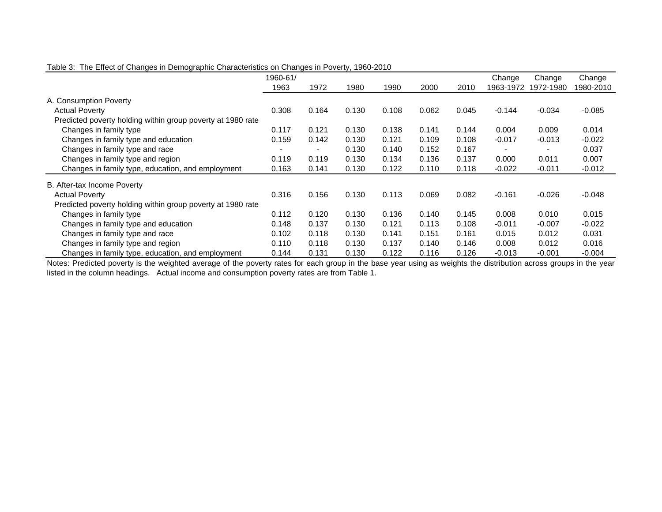|                                                             | 1960-61/ |       |       |       |       |       | Change    | Change    | Change    |
|-------------------------------------------------------------|----------|-------|-------|-------|-------|-------|-----------|-----------|-----------|
|                                                             | 1963     | 1972  | 1980  | 1990  | 2000  | 2010  | 1963-1972 | 1972-1980 | 1980-2010 |
| A. Consumption Poverty                                      |          |       |       |       |       |       |           |           |           |
| <b>Actual Poverty</b>                                       | 0.308    | 0.164 | 0.130 | 0.108 | 0.062 | 0.045 | $-0.144$  | $-0.034$  | $-0.085$  |
| Predicted poverty holding within group poverty at 1980 rate |          |       |       |       |       |       |           |           |           |
| Changes in family type                                      | 0.117    | 0.121 | 0.130 | 0.138 | 0.141 | 0.144 | 0.004     | 0.009     | 0.014     |
| Changes in family type and education                        | 0.159    | 0.142 | 0.130 | 0.121 | 0.109 | 0.108 | $-0.017$  | $-0.013$  | $-0.022$  |
| Changes in family type and race                             |          |       | 0.130 | 0.140 | 0.152 | 0.167 |           |           | 0.037     |
| Changes in family type and region                           | 0.119    | 0.119 | 0.130 | 0.134 | 0.136 | 0.137 | 0.000     | 0.011     | 0.007     |
| Changes in family type, education, and employment           | 0.163    | 0.141 | 0.130 | 0.122 | 0.110 | 0.118 | $-0.022$  | $-0.011$  | $-0.012$  |
| B. After-tax Income Poverty                                 |          |       |       |       |       |       |           |           |           |
| <b>Actual Poverty</b>                                       | 0.316    | 0.156 | 0.130 | 0.113 | 0.069 | 0.082 | $-0.161$  | $-0.026$  | $-0.048$  |
| Predicted poverty holding within group poverty at 1980 rate |          |       |       |       |       |       |           |           |           |
| Changes in family type                                      | 0.112    | 0.120 | 0.130 | 0.136 | 0.140 | 0.145 | 0.008     | 0.010     | 0.015     |
| Changes in family type and education                        | 0.148    | 0.137 | 0.130 | 0.121 | 0.113 | 0.108 | $-0.011$  | $-0.007$  | $-0.022$  |
| Changes in family type and race                             | 0.102    | 0.118 | 0.130 | 0.141 | 0.151 | 0.161 | 0.015     | 0.012     | 0.031     |
| Changes in family type and region                           | 0.110    | 0.118 | 0.130 | 0.137 | 0.140 | 0.146 | 0.008     | 0.012     | 0.016     |
| Changes in family type, education, and employment           | 0.144    | 0.131 | 0.130 | 0.122 | 0.116 | 0.126 | $-0.013$  | $-0.001$  | $-0.004$  |

#### Table 3: The Effect of Changes in Demographic Characteristics on Changes in Poverty, 1960-2010

Notes: Predicted poverty is the weighted average of the poverty rates for each group in the base year using as weights the distribution across groups in the year listed in the column headings. Actual income and consumption poverty rates are from Table 1.